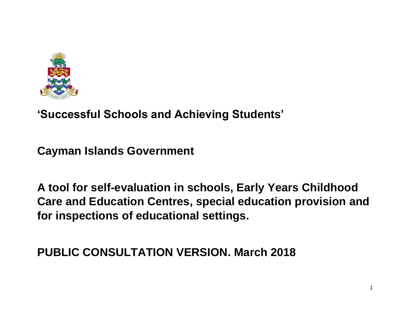

**'Successful Schools and Achieving Students'**

**Cayman Islands Government**

**A tool for self-evaluation in schools, Early Years Childhood Care and Education Centres, special education provision and for inspections of educational settings.**

**PUBLIC CONSULTATION VERSION. March 2018**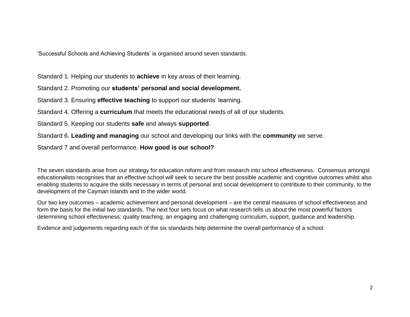'Successful Schools and Achieving Students' is organised around seven standards.

Standard 1. Helping our students to **achieve** in key areas of their learning.

Standard 2. Promoting our **students' personal and social development.**

Standard 3. Ensuring **effective teaching** to support our students' learning.

Standard 4. Offering a **curriculum** that meets the educational needs of all of our students.

Standard 5. Keeping our students **safe** and always **supported**.

Standard 6. **Leading and managing** our school and developing our links with the **community** we serve.

Standard 7 and overall performance. **How good is our school?**

The seven standards arise from our strategy for education reform and from research into school effectiveness. Consensus amongst educationalists recognises that an effective school will seek to secure the best possible academic and cognitive outcomes whilst also enabling students to acquire the skills necessary in terms of personal and social development to contribute to their community, to the development of the Cayman Islands and to the wider world.

Our two key outcomes – academic achievement and personal development – are the central measures of school effectiveness and form the basis for the initial two standards. The next four sets focus on what research tells us about the most powerful factors determining school effectiveness: quality teaching, an engaging and challenging curriculum, support, guidance and leadership.

Evidence and judgements regarding each of the six standards help determine the overall performance of a school.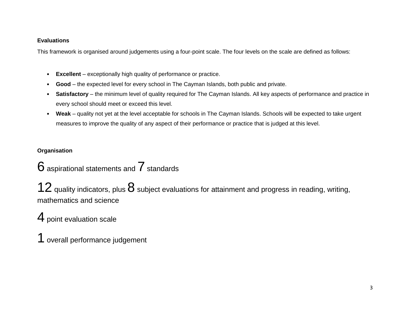#### **Evaluations**

This framework is organised around judgements using a four-point scale. The four levels on the scale are defined as follows:

- **Excellent** exceptionally high quality of performance or practice.
- **Good**  the expected level for every school in The Cayman Islands, both public and private.
- **Satisfactory** the minimum level of quality required for The Cayman Islands. All key aspects of performance and practice in every school should meet or exceed this level.
- **Weak** quality not yet at the level acceptable for schools in The Cayman Islands. Schools will be expected to take urgent measures to improve the quality of any aspect of their performance or practice that is judged at this level.

**Organisation**

# $6$  aspirational statements and  $7$  standards

12 quality indicators, plus  $8$  subject evaluations for attainment and progress in reading, writing, mathematics and science

# 4 point evaluation scale

1 overall performance judgement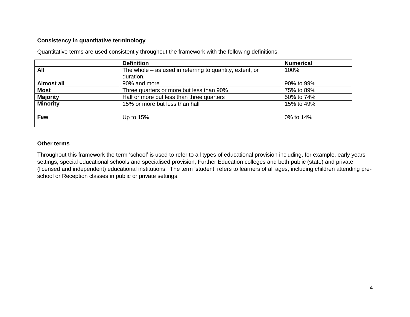#### **Consistency in quantitative terminology**

|                   | <b>Definition</b>                                          | <b>Numerical</b> |
|-------------------|------------------------------------------------------------|------------------|
| All               | The whole $-$ as used in referring to quantity, extent, or | 100%             |
|                   | duration.                                                  |                  |
| <b>Almost all</b> | 90% and more                                               | 90% to 99%       |
| <b>Most</b>       | Three quarters or more but less than 90%                   | 75% to 89%       |
| <b>Majority</b>   | Half or more but less than three quarters                  | 50% to 74%       |
| <b>Minority</b>   | 15% or more but less than half                             | 15% to 49%       |
| <b>Few</b>        | Up to $15%$                                                | 0% to 14%        |

Quantitative terms are used consistently throughout the framework with the following definitions:

#### **Other terms**

Throughout this framework the term 'school' is used to refer to all types of educational provision including, for example, early years settings, special educational schools and specialised provision, Further Education colleges and both public (state) and private (licensed and independent) educational institutions. The term 'student' refers to learners of all ages, including children attending preschool or Reception classes in public or private settings.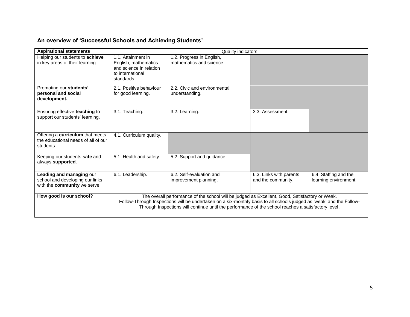# **An overview of 'Successful Schools and Achieving Students'**

| <b>Aspirational statements</b>                                                                     |                                                                                                         | Quality indicators                                                                                                                                                                                                                                                                                                            |                                               |                                                |
|----------------------------------------------------------------------------------------------------|---------------------------------------------------------------------------------------------------------|-------------------------------------------------------------------------------------------------------------------------------------------------------------------------------------------------------------------------------------------------------------------------------------------------------------------------------|-----------------------------------------------|------------------------------------------------|
| Helping our students to achieve<br>in key areas of their learning.                                 | 1.1. Attainment in<br>English, mathematics<br>and science in relation<br>to international<br>standards. | 1.2. Progress in English,<br>mathematics and science.                                                                                                                                                                                                                                                                         |                                               |                                                |
| Promoting our students'<br>personal and social<br>development.                                     | 2.1. Positive behaviour<br>for good learning.                                                           | 2.2. Civic and environmental<br>understanding.                                                                                                                                                                                                                                                                                |                                               |                                                |
| Ensuring effective teaching to<br>support our students' learning.                                  | 3.1. Teaching.                                                                                          | 3.2. Learning.                                                                                                                                                                                                                                                                                                                | 3.3. Assessment.                              |                                                |
| Offering a curriculum that meets<br>the educational needs of all of our<br>students.               | 4.1. Curriculum quality.                                                                                |                                                                                                                                                                                                                                                                                                                               |                                               |                                                |
| Keeping our students safe and<br>always supported.                                                 | 5.1. Health and safety.                                                                                 | 5.2. Support and guidance.                                                                                                                                                                                                                                                                                                    |                                               |                                                |
| Leading and managing our<br>school and developing our links<br>with the <b>community</b> we serve. | 6.1. Leadership.                                                                                        | 6.2. Self-evaluation and<br>improvement planning.                                                                                                                                                                                                                                                                             | 6.3. Links with parents<br>and the community. | 6.4. Staffing and the<br>learning environment. |
| How good is our school?                                                                            |                                                                                                         | The overall performance of the school will be judged as Excellent, Good, Satisfactory or Weak.<br>Follow-Through Inspections will be undertaken on a six-monthly basis to all schools judged as 'weak' and the Follow-<br>Through Inspections will continue until the performance of the school reaches a satisfactory level. |                                               |                                                |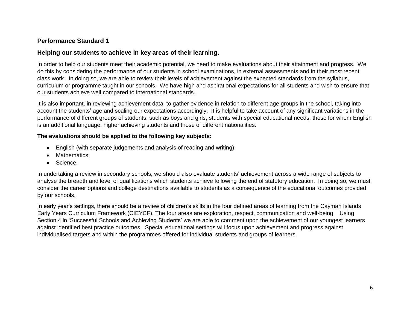## **Performance Standard 1**

## **Helping our students to achieve in key areas of their learning.**

In order to help our students meet their academic potential, we need to make evaluations about their attainment and progress. We do this by considering the performance of our students in school examinations, in external assessments and in their most recent class work. In doing so, we are able to review their levels of achievement against the expected standards from the syllabus, curriculum or programme taught in our schools. We have high and aspirational expectations for all students and wish to ensure that our students achieve well compared to international standards.

It is also important, in reviewing achievement data, to gather evidence in relation to different age groups in the school, taking into account the students' age and scaling our expectations accordingly. It is helpful to take account of any significant variations in the performance of different groups of students, such as boys and girls, students with special educational needs, those for whom English is an additional language, higher achieving students and those of different nationalities.

## **The evaluations should be applied to the following key subjects:**

- English (with separate judgements and analysis of reading and writing);
- Mathematics:
- Science.

In undertaking a review in secondary schools, we should also evaluate students' achievement across a wide range of subjects to analyse the breadth and level of qualifications which students achieve following the end of statutory education. In doing so, we must consider the career options and college destinations available to students as a consequence of the educational outcomes provided by our schools.

In early year's settings, there should be a review of children's skills in the four defined areas of learning from the Cayman Islands Early Years Curriculum Framework (CIEYCF). The four areas are exploration, respect, communication and well-being. Using Section 4 in 'Successful Schools and Achieving Students' we are able to comment upon the achievement of our youngest learners against identified best practice outcomes. Special educational settings will focus upon achievement and progress against individualised targets and within the programmes offered for individual students and groups of learners.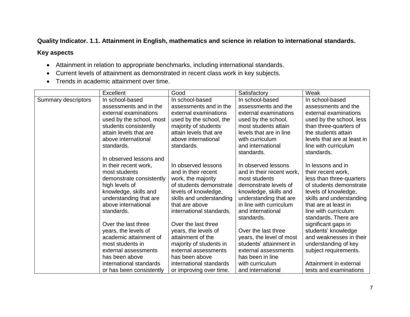## **Quality Indicator. 1.1. Attainment in English, mathematics and science in relation to international standards.**

- Attainment in relation to appropriate benchmarks, including international standards.
- Current levels of attainment as demonstrated in recent class work in key subjects.
- Trends in academic attainment over time.

|                     | <b>Excellent</b>         | Good                     | Satisfactory              | Weak                        |
|---------------------|--------------------------|--------------------------|---------------------------|-----------------------------|
| Summary descriptors | In school-based          | In school-based          | In school-based           | In school-based             |
|                     | assessments and in the   | assessments and in the   | assessments and the       | assessments and the         |
|                     | external examinations    | external examinations    | external examinations     | external examinations       |
|                     | used by the school, most | used by the school, the  | used by the school,       | used by the school, less    |
|                     | students consistently    | majority of students     | most students attain      | than three-quarters of      |
|                     | attain levels that are   | attain levels that are   | levels that are in line   | the students attain         |
|                     | above international      | above international      | with curriculum           | levels that are at least in |
|                     | standards.               | standards.               | and international         | line with curriculum        |
|                     |                          |                          | standards.                | standards.                  |
|                     | In observed lessons and  |                          |                           |                             |
|                     | in their recent work,    | In observed lessons      | In observed lessons       | In lessons and in           |
|                     | most students            | and in their recent      | and in their recent work, | their recent work,          |
|                     | demonstrate consistently | work, the majority       | most students             | less than three-quarters    |
|                     | high levels of           | of students demonstrate  | demonstrate levels of     | of students demonstrate     |
|                     | knowledge, skills and    | levels of knowledge,     | knowledge, skills and     | levels of knowledge,        |
|                     | understanding that are   | skills and understanding | understanding that are    | skills and understanding    |
|                     | above international      | that are above           | in line with curriculum   | that are at least in        |
|                     | standards.               | international standards. | and international         | line with curriculum        |
|                     |                          |                          | standards.                | standards. There are        |
|                     | Over the last three      | Over the last three      |                           | significant gaps in         |
|                     | years, the levels of     | years, the levels of     | Over the last three       | students' knowledge         |
|                     | academic attainment of   | attainment of the        | years, the level of most  | and weaknesses in their     |
|                     | most students in         | majority of students in  | students' attainment in   | understanding of key        |
|                     | external assessments     | external assessments     | external assessments      | subject requirements.       |
|                     | has been above           | has been above           | has been in line          |                             |
|                     | international standards  | international standards  | with curriculum           | Attainment in external      |
|                     | or has been consistently | or improving over time.  | and international         | tests and examinations      |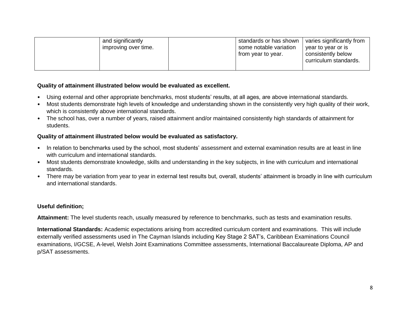| and significantly<br>improving over time. | standards or has shown<br>some notable variation<br>from year to year. | varies significantly from<br>year to year or is<br>consistently below<br>curriculum standards. |
|-------------------------------------------|------------------------------------------------------------------------|------------------------------------------------------------------------------------------------|
|-------------------------------------------|------------------------------------------------------------------------|------------------------------------------------------------------------------------------------|

#### **Quality of attainment illustrated below would be evaluated as excellent.**

- Using external and other appropriate benchmarks, most students' results, at all ages, are above international standards.
- Most students demonstrate high levels of knowledge and understanding shown in the consistently very high quality of their work, which is consistently above international standards.
- The school has, over a number of years, raised attainment and/or maintained consistently high standards of attainment for students.

#### **Quality of attainment illustrated below would be evaluated as satisfactory.**

- In relation to benchmarks used by the school, most students' assessment and external examination results are at least in line with curriculum and international standards.
- Most students demonstrate knowledge, skills and understanding in the key subjects, in line with curriculum and international standards.
- There may be variation from year to year in external test results but, overall, students' attainment is broadly in line with curriculum and international standards.

## **Useful definition;**

**Attainment:** The level students reach, usually measured by reference to benchmarks, such as tests and examination results.

**International Standards:** Academic expectations arising from accredited curriculum content and examinations. This will include externally verified assessments used in The Cayman Islands including Key Stage 2 SAT's, Caribbean Examinations Council examinations, I/GCSE, A-level, Welsh Joint Examinations Committee assessments, International Baccalaureate Diploma, AP and p/SAT assessments.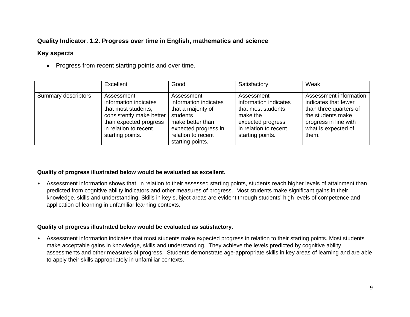## **Quality Indicator. 1.2. Progress over time in English, mathematics and science**

## **Key aspects**

• Progress from recent starting points and over time.

|                     | Excellent                                                                                                                                                     | Good                                                                                                                                                        | Satisfactory                                                                                                                            | Weak                                                                                                                                                   |
|---------------------|---------------------------------------------------------------------------------------------------------------------------------------------------------------|-------------------------------------------------------------------------------------------------------------------------------------------------------------|-----------------------------------------------------------------------------------------------------------------------------------------|--------------------------------------------------------------------------------------------------------------------------------------------------------|
| Summary descriptors | Assessment<br>information indicates<br>that most students,<br>consistently make better<br>than expected progress<br>in relation to recent<br>starting points. | Assessment<br>information indicates<br>that a majority of<br>students<br>make better than<br>expected progress in<br>relation to recent<br>starting points. | Assessment<br>information indicates<br>that most students<br>make the<br>expected progress<br>in relation to recent<br>starting points. | Assessment information<br>indicates that fewer<br>than three quarters of<br>the students make<br>progress in line with<br>what is expected of<br>them. |

#### **Quality of progress illustrated below would be evaluated as excellent.**

• Assessment information shows that, in relation to their assessed starting points, students reach higher levels of attainment than predicted from cognitive ability indicators and other measures of progress. Most students make significant gains in their knowledge, skills and understanding. Skills in key subject areas are evident through students' high levels of competence and application of learning in unfamiliar learning contexts.

#### **Quality of progress illustrated below would be evaluated as satisfactory.**

• Assessment information indicates that most students make expected progress in relation to their starting points. Most students make acceptable gains in knowledge, skills and understanding. They achieve the levels predicted by cognitive ability assessments and other measures of progress. Students demonstrate age-appropriate skills in key areas of learning and are able to apply their skills appropriately in unfamiliar contexts.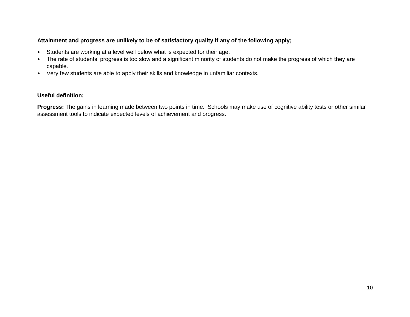#### **Attainment and progress are unlikely to be of satisfactory quality if any of the following apply;**

- Students are working at a level well below what is expected for their age.
- The rate of students' progress is too slow and a significant minority of students do not make the progress of which they are capable.
- Very few students are able to apply their skills and knowledge in unfamiliar contexts.

#### **Useful definition;**

**Progress:** The gains in learning made between two points in time. Schools may make use of cognitive ability tests or other similar assessment tools to indicate expected levels of achievement and progress.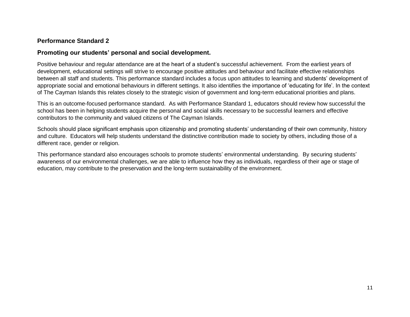## **Performance Standard 2**

#### **Promoting our students' personal and social development.**

Positive behaviour and regular attendance are at the heart of a student's successful achievement. From the earliest years of development, educational settings will strive to encourage positive attitudes and behaviour and facilitate effective relationships between all staff and students. This performance standard includes a focus upon attitudes to learning and students' development of appropriate social and emotional behaviours in different settings. It also identifies the importance of 'educating for life'. In the context of The Cayman Islands this relates closely to the strategic vision of government and long-term educational priorities and plans.

This is an outcome-focused performance standard. As with Performance Standard 1, educators should review how successful the school has been in helping students acquire the personal and social skills necessary to be successful learners and effective contributors to the community and valued citizens of The Cayman Islands.

Schools should place significant emphasis upon citizenship and promoting students' understanding of their own community, history and culture. Educators will help students understand the distinctive contribution made to society by others, including those of a different race, gender or religion.

This performance standard also encourages schools to promote students' environmental understanding. By securing students' awareness of our environmental challenges, we are able to influence how they as individuals, regardless of their age or stage of education, may contribute to the preservation and the long-term sustainability of the environment.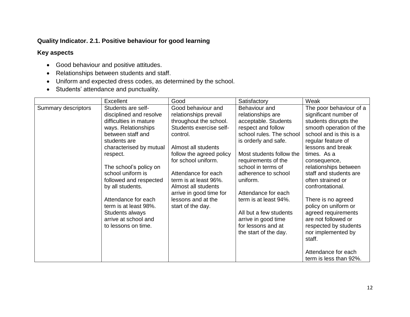## **Quality Indicator. 2.1. Positive behaviour for good learning**

- Good behaviour and positive attitudes.
- Relationships between students and staff.
- Uniform and expected dress codes, as determined by the school.
- Students' attendance and punctuality.

|                     | Excellent                                                                                                                                                                                                                                                                                      | Good                                                                                                                                                                                                                                                                                                           | Satisfactory                                                                                                                                                                                                                                                                                     | Weak                                                                                                                                                                                                                                                                                                                        |
|---------------------|------------------------------------------------------------------------------------------------------------------------------------------------------------------------------------------------------------------------------------------------------------------------------------------------|----------------------------------------------------------------------------------------------------------------------------------------------------------------------------------------------------------------------------------------------------------------------------------------------------------------|--------------------------------------------------------------------------------------------------------------------------------------------------------------------------------------------------------------------------------------------------------------------------------------------------|-----------------------------------------------------------------------------------------------------------------------------------------------------------------------------------------------------------------------------------------------------------------------------------------------------------------------------|
| Summary descriptors | Students are self-<br>disciplined and resolve<br>difficulties in mature<br>ways. Relationships<br>between staff and<br>students are<br>characterised by mutual<br>respect.<br>The school's policy on<br>school uniform is<br>followed and respected<br>by all students.<br>Attendance for each | Good behaviour and<br>relationships prevail<br>throughout the school.<br>Students exercise self-<br>control.<br>Almost all students<br>follow the agreed policy<br>for school uniform.<br>Attendance for each<br>term is at least 96%.<br>Almost all students<br>arrive in good time for<br>lessons and at the | Behaviour and<br>relationships are<br>acceptable. Students<br>respect and follow<br>school rules. The school<br>is orderly and safe.<br>Most students follow the<br>requirements of the<br>school in terms of<br>adherence to school<br>uniform.<br>Attendance for each<br>term is at least 94%. | The poor behaviour of a<br>significant number of<br>students disrupts the<br>smooth operation of the<br>school and is this is a<br>regular feature of<br>lessons and break<br>times. As a<br>consequence,<br>relationships between<br>staff and students are<br>often strained or<br>confrontational.<br>There is no agreed |
|                     | term is at least 98%.<br>Students always<br>arrive at school and<br>to lessons on time.                                                                                                                                                                                                        | start of the day.                                                                                                                                                                                                                                                                                              | All but a few students<br>arrive in good time<br>for lessons and at<br>the start of the day.                                                                                                                                                                                                     | policy on uniform or<br>agreed requirements<br>are not followed or<br>respected by students<br>nor implemented by<br>staff.<br>Attendance for each<br>term is less than 92%.                                                                                                                                                |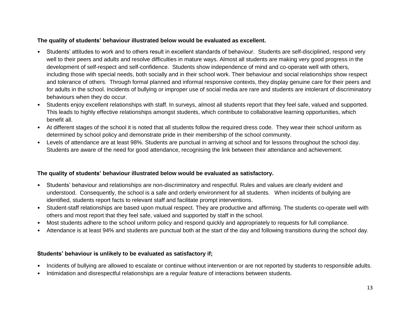#### **The quality of students' behaviour illustrated below would be evaluated as excellent.**

- Students' attitudes to work and to others result in excellent standards of behaviour. Students are self-disciplined, respond very well to their peers and adults and resolve difficulties in mature ways. Almost all students are making very good progress in the development of self-respect and self-confidence. Students show independence of mind and co-operate well with others, including those with special needs, both socially and in their school work. Their behaviour and social relationships show respect and tolerance of others. Through formal planned and informal responsive contexts, they display genuine care for their peers and for adults in the school. Incidents of bullying or improper use of social media are rare and students are intolerant of discriminatory behaviours when they do occur.
- Students enjoy excellent relationships with staff. In surveys, almost all students report that they feel safe, valued and supported. This leads to highly effective relationships amongst students, which contribute to collaborative learning opportunities, which benefit all.
- At different stages of the school it is noted that all students follow the required dress code. They wear their school uniform as determined by school policy and demonstrate pride in their membership of the school community.
- Levels of attendance are at least 98%. Students are punctual in arriving at school and for lessons throughout the school day. Students are aware of the need for good attendance, recognising the link between their attendance and achievement.

## **The quality of students' behaviour illustrated below would be evaluated as satisfactory.**

- Students' behaviour and relationships are non-discriminatory and respectful. Rules and values are clearly evident and understood. Consequently, the school is a safe and orderly environment for all students. When incidents of bullying are identified, students report facts to relevant staff and facilitate prompt interventions.
- Student-staff relationships are based upon mutual respect. They are productive and affirming. The students co-operate well with others and most report that they feel safe, valued and supported by staff in the school.
- Most students adhere to the school uniform policy and respond quickly and appropriately to requests for full compliance.
- Attendance is at least 94% and students are punctual both at the start of the day and following transitions during the school day.

## **Students' behaviour is unlikely to be evaluated as satisfactory if;**

- Incidents of bullying are allowed to escalate or continue without intervention or are not reported by students to responsible adults.
- Intimidation and disrespectful relationships are a regular feature of interactions between students.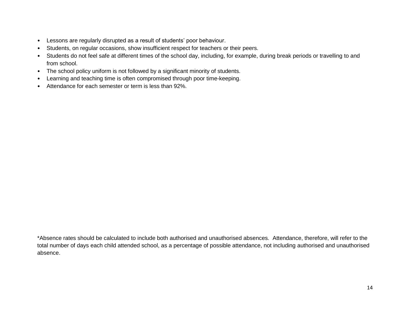- Lessons are regularly disrupted as a result of students' poor behaviour.
- Students, on regular occasions, show insufficient respect for teachers or their peers.
- Students do not feel safe at different times of the school day, including, for example, during break periods or travelling to and from school.
- The school policy uniform is not followed by a significant minority of students.
- Learning and teaching time is often compromised through poor time-keeping.
- Attendance for each semester or term is less than 92%.

\*Absence rates should be calculated to include both authorised and unauthorised absences. Attendance, therefore, will refer to the total number of days each child attended school, as a percentage of possible attendance, not including authorised and unauthorised absence.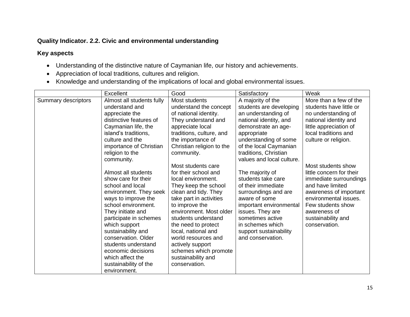## **Quality Indicator. 2.2. Civic and environmental understanding**

- Understanding of the distinctive nature of Caymanian life, our history and achievements.
- Appreciation of local traditions, cultures and religion.
- Knowledge and understanding of the implications of local and global environmental issues.

|                     | <b>Excellent</b>                      | Good                      | Satisfactory              | Weak                     |
|---------------------|---------------------------------------|---------------------------|---------------------------|--------------------------|
| Summary descriptors | Almost all students fully             | Most students             | A majority of the         | More than a few of the   |
|                     | understand and                        | understand the concept    | students are developing   | students have little or  |
|                     | appreciate the                        | of national identity.     | an understanding of       | no understanding of      |
|                     | distinctive features of               | They understand and       | national identity, and    | national identity and    |
|                     | Caymanian life, the                   | appreciate local          | demonstrate an age-       | little appreciation of   |
|                     | island's traditions,                  | traditions, culture, and  | appropriate               | local traditions and     |
|                     | culture and the                       | the importance of         | understanding of some     | culture or religion.     |
|                     | importance of Christian               | Christian religion to the | of the local Caymanian    |                          |
|                     | religion to the                       | community.                | traditions, Christian     |                          |
|                     | community.                            |                           | values and local culture. |                          |
|                     |                                       | Most students care        |                           | Most students show       |
|                     | Almost all students                   | for their school and      | The majority of           | little concern for their |
|                     | show care for their                   | local environment.        | students take care        | immediate surroundings   |
|                     | school and local                      | They keep the school      | of their immediate        | and have limited         |
|                     | environment. They seek                | clean and tidy. They      | surroundings and are      | awareness of important   |
|                     | ways to improve the                   | take part in activities   | aware of some             | environmental issues.    |
|                     | school environment.                   | to improve the            | important environmental   | Few students show        |
|                     | They initiate and                     | environment. Most older   | issues. They are          | awareness of             |
|                     | participate in schemes                | students understand       | sometimes active          | sustainability and       |
|                     | which support                         | the need to protect       | in schemes which          | conservation.            |
|                     | sustainability and                    | local, national and       | support sustainability    |                          |
|                     | conservation. Older                   | world resources and       | and conservation.         |                          |
|                     | students understand                   | actively support          |                           |                          |
|                     | economic decisions                    | schemes which promote     |                           |                          |
|                     | which affect the                      | sustainability and        |                           |                          |
|                     | sustainability of the<br>environment. | conservation.             |                           |                          |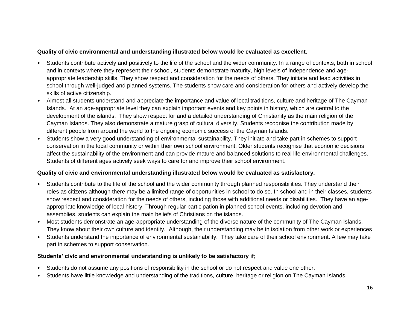#### **Quality of civic environmental and understanding illustrated below would be evaluated as excellent.**

- Students contribute actively and positively to the life of the school and the wider community. In a range of contexts, both in school and in contexts where they represent their school, students demonstrate maturity, high levels of independence and ageappropriate leadership skills. They show respect and consideration for the needs of others. They initiate and lead activities in school through well-judged and planned systems. The students show care and consideration for others and actively develop the skills of active citizenship.
- Almost all students understand and appreciate the importance and value of local traditions, culture and heritage of The Cayman Islands. At an age-appropriate level they can explain important events and key points in history, which are central to the development of the islands. They show respect for and a detailed understanding of Christianity as the main religion of the Cayman Islands. They also demonstrate a mature grasp of cultural diversity. Students recognise the contribution made by different people from around the world to the ongoing economic success of the Cayman Islands.
- Students show a very good understanding of environmental sustainability. They initiate and take part in schemes to support conservation in the local community or within their own school environment. Older students recognise that economic decisions affect the sustainability of the environment and can provide mature and balanced solutions to real life environmental challenges. Students of different ages actively seek ways to care for and improve their school environment.

## **Quality of civic and environmental understanding illustrated below would be evaluated as satisfactory.**

- Students contribute to the life of the school and the wider community through planned responsibilities. They understand their roles as citizens although there may be a limited range of opportunities in school to do so. In school and in their classes, students show respect and consideration for the needs of others, including those with additional needs or disabilities. They have an ageappropriate knowledge of local history. Through regular participation in planned school events, including devotion and assemblies, students can explain the main beliefs of Christians on the islands.
- Most students demonstrate an age-appropriate understanding of the diverse nature of the community of The Cayman Islands. They know about their own culture and identity. Although, their understanding may be in isolation from other work or experiences
- Students understand the importance of environmental sustainability. They take care of their school environment. A few may take part in schemes to support conservation.

## **Students' civic and environmental understanding is unlikely to be satisfactory if;**

- Students do not assume any positions of responsibility in the school or do not respect and value one other.
- Students have little knowledge and understanding of the traditions, culture, heritage or religion on The Cayman Islands.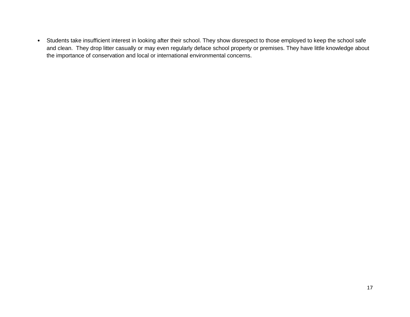• Students take insufficient interest in looking after their school. They show disrespect to those employed to keep the school safe and clean. They drop litter casually or may even regularly deface school property or premises. They have little knowledge about the importance of conservation and local or international environmental concerns.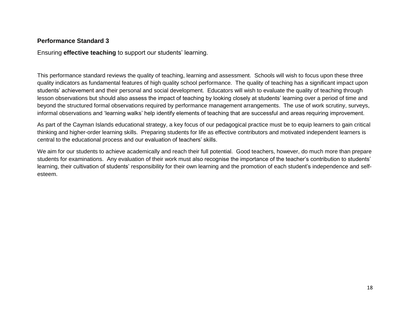## **Performance Standard 3**

Ensuring **effective teaching** to support our students' learning.

This performance standard reviews the quality of teaching, learning and assessment. Schools will wish to focus upon these three quality indicators as fundamental features of high quality school performance. The quality of teaching has a significant impact upon students' achievement and their personal and social development. Educators will wish to evaluate the quality of teaching through lesson observations but should also assess the impact of teaching by looking closely at students' learning over a period of time and beyond the structured formal observations required by performance management arrangements. The use of work scrutiny, surveys, informal observations and 'learning walks' help identify elements of teaching that are successful and areas requiring improvement.

As part of the Cayman Islands educational strategy, a key focus of our pedagogical practice must be to equip learners to gain critical thinking and higher-order learning skills. Preparing students for life as effective contributors and motivated independent learners is central to the educational process and our evaluation of teachers' skills.

We aim for our students to achieve academically and reach their full potential. Good teachers, however, do much more than prepare students for examinations. Any evaluation of their work must also recognise the importance of the teacher's contribution to students' learning, their cultivation of students' responsibility for their own learning and the promotion of each student's independence and selfesteem.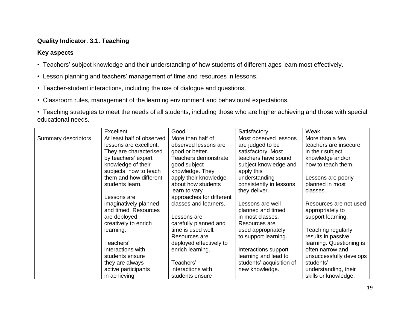## **Quality Indicator. 3.1. Teaching**

- Teachers' subject knowledge and their understanding of how students of different ages learn most effectively.
- Lesson planning and teachers' management of time and resources in lessons.
- Teacher-student interactions, including the use of dialogue and questions.
- Classroom rules, management of the learning environment and behavioural expectations.
- Teaching strategies to meet the needs of all students, including those who are higher achieving and those with special educational needs.

|                     | Excellent                 | Good                     | Satisfactory             | Weak                     |
|---------------------|---------------------------|--------------------------|--------------------------|--------------------------|
| Summary descriptors | At least half of observed | More than half of        | Most observed lessons    | More than a few          |
|                     | lessons are excellent.    | observed lessons are     | are judged to be         | teachers are insecure    |
|                     | They are characterised    | good or better.          | satisfactory. Most       | in their subject         |
|                     | by teachers' expert       | Teachers demonstrate     | teachers have sound      | knowledge and/or         |
|                     | knowledge of their        | good subject             | subject knowledge and    | how to teach them.       |
|                     | subjects, how to teach    | knowledge. They          | apply this               |                          |
|                     | them and how different    | apply their knowledge    | understanding            | Lessons are poorly       |
|                     | students learn.           | about how students       | consistently in lessons  | planned in most          |
|                     |                           | learn to vary            | they deliver.            | classes.                 |
|                     | Lessons are               | approaches for different |                          |                          |
|                     | imaginatively planned     | classes and learners.    | Lessons are well         | Resources are not used   |
|                     | and timed. Resources      |                          | planned and timed        | appropriately to         |
|                     | are deployed              | Lessons are              | in most classes.         | support learning.        |
|                     | creatively to enrich      | carefully planned and    | Resources are            |                          |
|                     | learning.                 | time is used well.       | used appropriately       | Teaching regularly       |
|                     |                           | Resources are            | to support learning.     | results in passive       |
|                     | Teachers'                 | deployed effectively to  |                          | learning. Questioning is |
|                     | interactions with         | enrich learning.         | Interactions support     | often narrow and         |
|                     | students ensure           |                          | learning and lead to     | unsuccessfully develops  |
|                     | they are always           | Teachers'                | students' acquisition of | students'                |
|                     | active participants       | interactions with        | new knowledge.           | understanding, their     |
|                     | in achieving              | students ensure          |                          | skills or knowledge.     |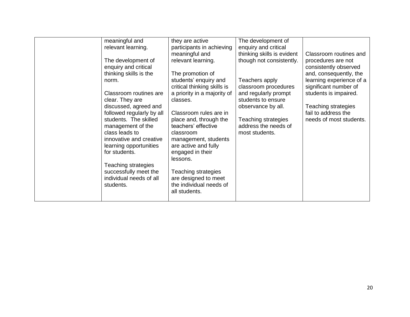|  | meaningful and<br>relevant learning.<br>The development of<br>enquiry and critical<br>thinking skills is the<br>norm.<br>Classroom routines are<br>clear. They are<br>discussed, agreed and<br>followed regularly by all<br>students. The skilled<br>management of the<br>class leads to<br>innovative and creative<br>learning opportunities<br>for students.<br>Teaching strategies<br>successfully meet the<br>individual needs of all<br>students. | they are active<br>participants in achieving<br>meaningful and<br>relevant learning.<br>The promotion of<br>students' enquiry and<br>critical thinking skills is<br>a priority in a majority of<br>classes.<br>Classroom rules are in<br>place and, through the<br>teachers' effective<br>classroom<br>management, students<br>are active and fully<br>engaged in their<br>lessons.<br>Teaching strategies<br>are designed to meet<br>the individual needs of<br>all students. | The development of<br>enquiry and critical<br>thinking skills is evident<br>though not consistently.<br>Teachers apply<br>classroom procedures<br>and regularly prompt<br>students to ensure<br>observance by all.<br>Teaching strategies<br>address the needs of<br>most students. | Classroom routines and<br>procedures are not<br>consistently observed<br>and, consequently, the<br>learning experience of a<br>significant number of<br>students is impaired.<br>Teaching strategies<br>fail to address the<br>needs of most students. |
|--|--------------------------------------------------------------------------------------------------------------------------------------------------------------------------------------------------------------------------------------------------------------------------------------------------------------------------------------------------------------------------------------------------------------------------------------------------------|--------------------------------------------------------------------------------------------------------------------------------------------------------------------------------------------------------------------------------------------------------------------------------------------------------------------------------------------------------------------------------------------------------------------------------------------------------------------------------|-------------------------------------------------------------------------------------------------------------------------------------------------------------------------------------------------------------------------------------------------------------------------------------|--------------------------------------------------------------------------------------------------------------------------------------------------------------------------------------------------------------------------------------------------------|
|--|--------------------------------------------------------------------------------------------------------------------------------------------------------------------------------------------------------------------------------------------------------------------------------------------------------------------------------------------------------------------------------------------------------------------------------------------------------|--------------------------------------------------------------------------------------------------------------------------------------------------------------------------------------------------------------------------------------------------------------------------------------------------------------------------------------------------------------------------------------------------------------------------------------------------------------------------------|-------------------------------------------------------------------------------------------------------------------------------------------------------------------------------------------------------------------------------------------------------------------------------------|--------------------------------------------------------------------------------------------------------------------------------------------------------------------------------------------------------------------------------------------------------|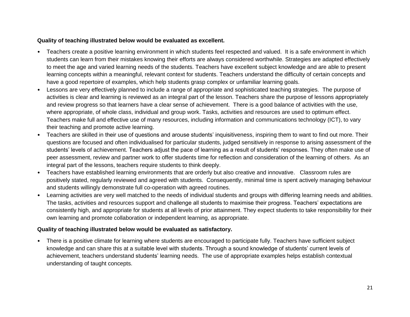#### **Quality of teaching illustrated below would be evaluated as excellent.**

- Teachers create a positive learning environment in which students feel respected and valued. It is a safe environment in which students can learn from their mistakes knowing their efforts are always considered worthwhile. Strategies are adapted effectively to meet the age and varied learning needs of the students. Teachers have excellent subject knowledge and are able to present learning concepts within a meaningful, relevant context for students. Teachers understand the difficulty of certain concepts and have a good repertoire of examples, which help students grasp complex or unfamiliar learning goals.
- Lessons are very effectively planned to include a range of appropriate and sophisticated teaching strategies. The purpose of activities is clear and learning is reviewed as an integral part of the lesson. Teachers share the purpose of lessons appropriately and review progress so that learners have a clear sense of achievement. There is a good balance of activities with the use, where appropriate, of whole class, individual and group work. Tasks, activities and resources are used to optimum effect. Teachers make full and effective use of many resources, including information and communications technology (ICT), to vary their teaching and promote active learning.
- Teachers are skilled in their use of questions and arouse students' inquisitiveness, inspiring them to want to find out more. Their questions are focused and often individualised for particular students, judged sensitively in response to arising assessment of the students' levels of achievement. Teachers adjust the pace of learning as a result of students' responses. They often make use of peer assessment, review and partner work to offer students time for reflection and consideration of the learning of others. As an integral part of the lessons, teachers require students to think deeply.
- Teachers have established learning environments that are orderly but also creative and innovative. Classroom rules are positively stated, regularly reviewed and agreed with students. Consequently, minimal time is spent actively managing behaviour and students willingly demonstrate full co-operation with agreed routines.
- Learning activities are very well matched to the needs of individual students and groups with differing learning needs and abilities. The tasks, activities and resources support and challenge all students to maximise their progress. Teachers' expectations are consistently high, and appropriate for students at all levels of prior attainment. They expect students to take responsibility for their own learning and promote collaboration or independent learning, as appropriate.

## **Quality of teaching illustrated below would be evaluated as satisfactory.**

• There is a positive climate for learning where students are encouraged to participate fully. Teachers have sufficient subject knowledge and can share this at a suitable level with students. Through a sound knowledge of students' current levels of achievement, teachers understand students' learning needs. The use of appropriate examples helps establish contextual understanding of taught concepts.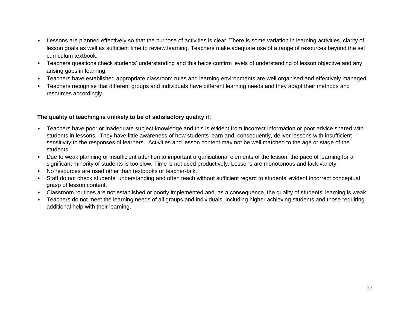- Lessons are planned effectively so that the purpose of activities is clear. There is some variation in learning activities, clarity of lesson goals as well as sufficient time to review learning. Teachers make adequate use of a range of resources beyond the set curriculum textbook.
- Teachers questions check students' understanding and this helps confirm levels of understanding of lesson objective and any arising gaps in learning.
- Teachers have established appropriate classroom rules and learning environments are well organised and effectively managed.
- Teachers recognise that different groups and individuals have different learning needs and they adapt their methods and resources accordingly.

## **The quality of teaching is unlikely to be of satisfactory quality if;**

- Teachers have poor or inadequate subject knowledge and this is evident from incorrect information or poor advice shared with students in lessons. They have little awareness of how students learn and, consequently, deliver lessons with insufficient sensitivity to the responses of learners. Activities and lesson content may not be well matched to the age or stage of the students.
- Due to weak planning or insufficient attention to important organisational elements of the lesson, the pace of learning for a significant minority of students is too slow. Time is not used productively. Lessons are monotonous and lack variety.
- No resources are used other than textbooks or teacher-talk.
- Staff do not check students' understanding and often teach without sufficient regard to students' evident incorrect conceptual grasp of lesson content.
- Classroom routines are not established or poorly implemented and, as a consequence, the quality of students' learning is weak.
- Teachers do not meet the learning needs of all groups and individuals, including higher achieving students and those requiring additional help with their learning.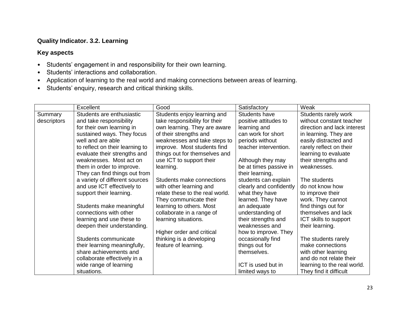## **Quality Indicator. 3.2. Learning**

- Students' engagement in and responsibility for their own learning.
- Students' interactions and collaboration.
- Application of learning to the real world and making connections between areas of learning.
- Students' enquiry, research and critical thinking skills.

|             | Excellent                       | Good                            | Satisfactory            | Weak                        |
|-------------|---------------------------------|---------------------------------|-------------------------|-----------------------------|
| Summary     | Students are enthusiastic       | Students enjoy learning and     | Students have           | Students rarely work        |
| descriptors | and take responsibility         | take responsibility for their   | positive attitudes to   | without constant teacher    |
|             | for their own learning in       | own learning. They are aware    | learning and            | direction and lack interest |
|             | sustained ways. They focus      | of their strengths and          | can work for short      | in learning. They are       |
|             | well and are able               | weaknesses and take steps to    | periods without         | easily distracted and       |
|             | to reflect on their learning to | improve. Most students find     | teacher intervention.   | rarely reflect on their     |
|             | evaluate their strengths and    | things out for themselves and   |                         | learning to evaluate        |
|             | weaknesses. Most act on         | use ICT to support their        | Although they may       | their strengths and         |
|             | them in order to improve.       | learning.                       | be at times passive in  | weaknesses.                 |
|             | They can find things out from   |                                 | their learning,         |                             |
|             | a variety of different sources  | Students make connections       | students can explain    | The students                |
|             | and use ICT effectively to      | with other learning and         | clearly and confidently | do not know how             |
|             | support their learning.         | relate these to the real world. | what they have          | to improve their            |
|             |                                 | They communicate their          | learned. They have      | work. They cannot           |
|             | Students make meaningful        | learning to others. Most        | an adequate             | find things out for         |
|             | connections with other          | collaborate in a range of       | understanding of        | themselves and lack         |
|             | learning and use these to       | learning situations.            | their strengths and     | ICT skills to support       |
|             | deepen their understanding.     |                                 | weaknesses and          | their learning.             |
|             |                                 | Higher order and critical       | how to improve. They    |                             |
|             | Students communicate            | thinking is a developing        | occasionally find       | The students rarely         |
|             | their learning meaningfully,    | feature of learning.            | things out for          | make connections            |
|             | share achievements and          |                                 | themselves.             | with other learning         |
|             | collaborate effectively in a    |                                 |                         | and do not relate their     |
|             | wide range of learning          |                                 | ICT is used but in      | learning to the real world. |
|             | situations.                     |                                 | limited ways to         | They find it difficult      |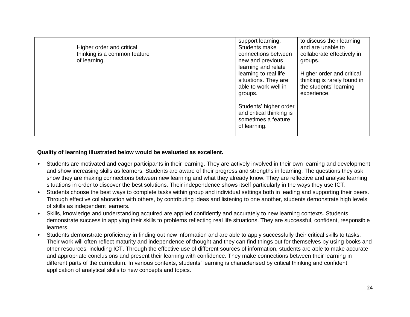| Higher order and critical<br>thinking is a common feature<br>of learning. | support learning.<br>Students make<br>connections between<br>new and previous<br>learning and relate<br>learning to real life<br>situations. They are<br>able to work well in<br>groups. | to discuss their learning<br>and are unable to<br>collaborate effectively in<br>groups.<br>Higher order and critical<br>thinking is rarely found in<br>the students' learning<br>experience. |
|---------------------------------------------------------------------------|------------------------------------------------------------------------------------------------------------------------------------------------------------------------------------------|----------------------------------------------------------------------------------------------------------------------------------------------------------------------------------------------|
|                                                                           | Students' higher order<br>and critical thinking is<br>sometimes a feature<br>of learning.                                                                                                |                                                                                                                                                                                              |

#### **Quality of learning illustrated below would be evaluated as excellent.**

- Students are motivated and eager participants in their learning. They are actively involved in their own learning and development and show increasing skills as learners. Students are aware of their progress and strengths in learning. The questions they ask show they are making connections between new learning and what they already know. They are reflective and analyse learning situations in order to discover the best solutions. Their independence shows itself particularly in the ways they use ICT.
- Students choose the best ways to complete tasks within group and individual settings both in leading and supporting their peers. Through effective collaboration with others, by contributing ideas and listening to one another, students demonstrate high levels of skills as independent learners.
- Skills, knowledge and understanding acquired are applied confidently and accurately to new learning contexts. Students demonstrate success in applying their skills to problems reflecting real life situations. They are successful, confident, responsible learners.
- Students demonstrate proficiency in finding out new information and are able to apply successfully their critical skills to tasks. Their work will often reflect maturity and independence of thought and they can find things out for themselves by using books and other resources, including ICT. Through the effective use of different sources of information, students are able to make accurate and appropriate conclusions and present their learning with confidence. They make connections between their learning in different parts of the curriculum. In various contexts, students' learning is characterised by critical thinking and confident application of analytical skills to new concepts and topics.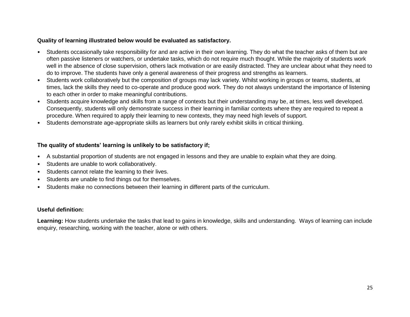#### **Quality of learning illustrated below would be evaluated as satisfactory.**

- Students occasionally take responsibility for and are active in their own learning. They do what the teacher asks of them but are often passive listeners or watchers, or undertake tasks, which do not require much thought. While the majority of students work well in the absence of close supervision, others lack motivation or are easily distracted. They are unclear about what they need to do to improve. The students have only a general awareness of their progress and strengths as learners.
- Students work collaboratively but the composition of groups may lack variety. Whilst working in groups or teams, students, at times, lack the skills they need to co-operate and produce good work. They do not always understand the importance of listening to each other in order to make meaningful contributions.
- Students acquire knowledge and skills from a range of contexts but their understanding may be, at times, less well developed. Consequently, students will only demonstrate success in their learning in familiar contexts where they are required to repeat a procedure. When required to apply their learning to new contexts, they may need high levels of support.
- Students demonstrate age-appropriate skills as learners but only rarely exhibit skills in critical thinking.

## **The quality of students' learning is unlikely to be satisfactory if;**

- A substantial proportion of students are not engaged in lessons and they are unable to explain what they are doing.
- Students are unable to work collaboratively.
- Students cannot relate the learning to their lives.
- Students are unable to find things out for themselves.
- Students make no connections between their learning in different parts of the curriculum.

## **Useful definition:**

**Learning:** How students undertake the tasks that lead to gains in knowledge, skills and understanding. Ways of learning can include enquiry, researching, working with the teacher, alone or with others.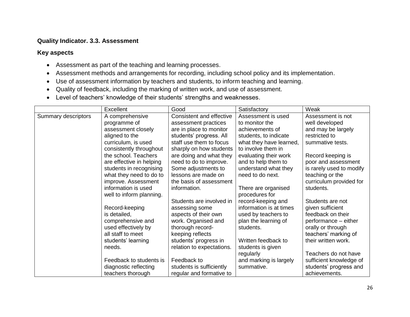## **Quality Indicator. 3.3. Assessment**

- Assessment as part of the teaching and learning processes.
- Assessment methods and arrangements for recording, including school policy and its implementation.
- Use of assessment information by teachers and students, to inform teaching and learning.
- Quality of feedback, including the marking of written work, and use of assessment.
- Level of teachers' knowledge of their students' strengths and weaknesses.

|                     | Excellent                | Good                      | Satisfactory            | Weak                     |
|---------------------|--------------------------|---------------------------|-------------------------|--------------------------|
| Summary descriptors | A comprehensive          | Consistent and effective  | Assessment is used      | Assessment is not        |
|                     | programme of             | assessment practices      | to monitor the          | well developed           |
|                     | assessment closely       | are in place to monitor   | achievements of         | and may be largely       |
|                     | aligned to the           | students' progress. All   | students, to indicate   | restricted to            |
|                     | curriculum, is used      | staff use them to focus   | what they have learned, | summative tests.         |
|                     | consistently throughout  | sharply on how students   | to involve them in      |                          |
|                     | the school. Teachers     | are doing and what they   | evaluating their work   | Record keeping is        |
|                     | are effective in helping | need to do to improve.    | and to help them to     | poor and assessment      |
|                     | students in recognising  | Some adjustments to       | understand what they    | is rarely used to modify |
|                     | what they need to do to  | lessons are made on       | need to do next.        | teaching or the          |
|                     | improve. Assessment      | the basis of assessment   |                         | curriculum provided for  |
|                     | information is used      | information.              | There are organised     | students.                |
|                     | well to inform planning. |                           | procedures for          |                          |
|                     |                          | Students are involved in  | record-keeping and      | Students are not         |
|                     | Record-keeping           | assessing some            | information is at times | given sufficient         |
|                     | is detailed,             | aspects of their own      | used by teachers to     | feedback on their        |
|                     | comprehensive and        | work. Organised and       | plan the learning of    | performance - either     |
|                     | used effectively by      | thorough record-          | students.               | orally or through        |
|                     | all staff to meet        | keeping reflects          |                         | teachers' marking of     |
|                     | students' learning       | students' progress in     | Written feedback to     | their written work.      |
|                     | needs.                   | relation to expectations. | students is given       |                          |
|                     |                          |                           | regularly               | Teachers do not have     |
|                     | Feedback to students is  | Feedback to               | and marking is largely  | sufficient knowledge of  |
|                     | diagnostic reflecting    | students is sufficiently  | summative.              | students' progress and   |
|                     | teachers thorough        | regular and formative to  |                         | achievements.            |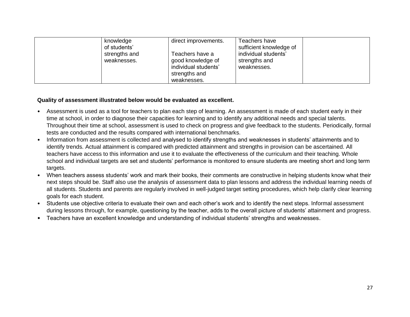| knowledge<br>of students'<br>strengths and<br>weaknesses. | direct improvements.<br>Teachers have a<br>good knowledge of<br>individual students'<br>strengths and<br>weaknesses. | Teachers have<br>sufficient knowledge of<br>individual students'<br>strengths and<br>weaknesses. |  |
|-----------------------------------------------------------|----------------------------------------------------------------------------------------------------------------------|--------------------------------------------------------------------------------------------------|--|
|-----------------------------------------------------------|----------------------------------------------------------------------------------------------------------------------|--------------------------------------------------------------------------------------------------|--|

#### **Quality of assessment illustrated below would be evaluated as excellent.**

- Assessment is used as a tool for teachers to plan each step of learning. An assessment is made of each student early in their time at school, in order to diagnose their capacities for learning and to identify any additional needs and special talents. Throughout their time at school, assessment is used to check on progress and give feedback to the students. Periodically, formal tests are conducted and the results compared with international benchmarks.
- Information from assessment is collected and analysed to identify strengths and weaknesses in students' attainments and to identify trends. Actual attainment is compared with predicted attainment and strengths in provision can be ascertained. All teachers have access to this information and use it to evaluate the effectiveness of the curriculum and their teaching. Whole school and individual targets are set and students' performance is monitored to ensure students are meeting short and long term targets.
- When teachers assess students' work and mark their books, their comments are constructive in helping students know what their next steps should be. Staff also use the analysis of assessment data to plan lessons and address the individual learning needs of all students. Students and parents are regularly involved in well-judged target setting procedures, which help clarify clear learning goals for each student.
- Students use objective criteria to evaluate their own and each other's work and to identify the next steps. Informal assessment during lessons through, for example, questioning by the teacher, adds to the overall picture of students' attainment and progress.
- Teachers have an excellent knowledge and understanding of individual students' strengths and weaknesses.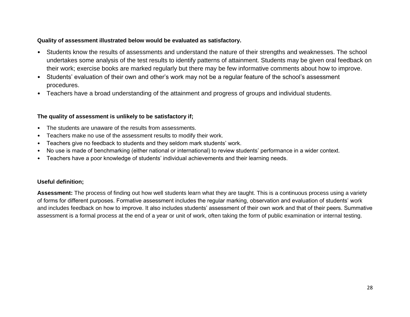#### **Quality of assessment illustrated below would be evaluated as satisfactory.**

- Students know the results of assessments and understand the nature of their strengths and weaknesses. The school undertakes some analysis of the test results to identify patterns of attainment. Students may be given oral feedback on their work; exercise books are marked regularly but there may be few informative comments about how to improve.
- Students' evaluation of their own and other's work may not be a regular feature of the school's assessment procedures.
- Teachers have a broad understanding of the attainment and progress of groups and individual students.

## **The quality of assessment is unlikely to be satisfactory if;**

- The students are unaware of the results from assessments.
- Teachers make no use of the assessment results to modify their work.
- Teachers give no feedback to students and they seldom mark students' work.
- No use is made of benchmarking (either national or international) to review students' performance in a wider context.
- Teachers have a poor knowledge of students' individual achievements and their learning needs.

#### **Useful definition;**

**Assessment:** The process of finding out how well students learn what they are taught. This is a continuous process using a variety of forms for different purposes. Formative assessment includes the regular marking, observation and evaluation of students' work and includes feedback on how to improve. It also includes students' assessment of their own work and that of their peers. Summative assessment is a formal process at the end of a year or unit of work, often taking the form of public examination or internal testing.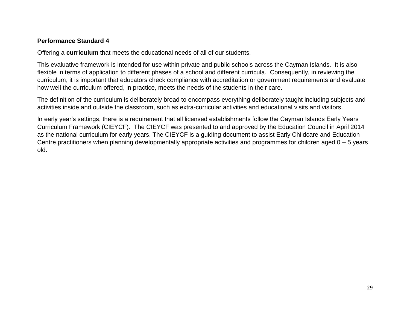## **Performance Standard 4**

Offering a **curriculum** that meets the educational needs of all of our students.

This evaluative framework is intended for use within private and public schools across the Cayman Islands. It is also flexible in terms of application to different phases of a school and different curricula. Consequently, in reviewing the curriculum, it is important that educators check compliance with accreditation or government requirements and evaluate how well the curriculum offered, in practice, meets the needs of the students in their care.

The definition of the curriculum is deliberately broad to encompass everything deliberately taught including subjects and activities inside and outside the classroom, such as extra-curricular activities and educational visits and visitors.

In early year's settings, there is a requirement that all licensed establishments follow the Cayman Islands Early Years Curriculum Framework (CIEYCF). The CIEYCF was presented to and approved by the Education Council in April 2014 as the national curriculum for early years. The CIEYCF is a guiding document to assist Early Childcare and Education Centre practitioners when planning developmentally appropriate activities and programmes for children aged 0 – 5 years old.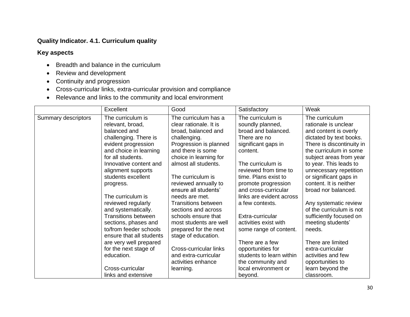## **Quality Indicator. 4.1. Curriculum quality**

- Breadth and balance in the curriculum
- Review and development
- Continuity and progression
- Cross-curricular links, extra-curricular provision and compliance
- Relevance and links to the community and local environment

|                     | Excellent                                                                                                                                                                                                                                                                                                                                                                                                                                       | Good                                                                                                                                                                                                                                                                                                                                                                                                                                | Satisfactory                                                                                                                                                                                                                                                                                                                                                                  | Weak                                                                                                                                                                                                                                                                                                                                                                                                                                            |
|---------------------|-------------------------------------------------------------------------------------------------------------------------------------------------------------------------------------------------------------------------------------------------------------------------------------------------------------------------------------------------------------------------------------------------------------------------------------------------|-------------------------------------------------------------------------------------------------------------------------------------------------------------------------------------------------------------------------------------------------------------------------------------------------------------------------------------------------------------------------------------------------------------------------------------|-------------------------------------------------------------------------------------------------------------------------------------------------------------------------------------------------------------------------------------------------------------------------------------------------------------------------------------------------------------------------------|-------------------------------------------------------------------------------------------------------------------------------------------------------------------------------------------------------------------------------------------------------------------------------------------------------------------------------------------------------------------------------------------------------------------------------------------------|
| Summary descriptors | The curriculum is<br>relevant, broad,<br>balanced and<br>challenging. There is<br>evident progression<br>and choice in learning<br>for all students.<br>Innovative content and<br>alignment supports<br>students excellent<br>progress.<br>The curriculum is<br>reviewed regularly<br>and systematically.<br><b>Transitions between</b><br>sections, phases and<br>to/from feeder schools<br>ensure that all students<br>are very well prepared | The curriculum has a<br>clear rationale. It is<br>broad, balanced and<br>challenging.<br>Progression is planned<br>and there is some<br>choice in learning for<br>almost all students.<br>The curriculum is<br>reviewed annually to<br>ensure all students'<br>needs are met.<br><b>Transitions between</b><br>sections and across<br>schools ensure that<br>most students are well<br>prepared for the next<br>stage of education. | The curriculum is<br>soundly planned,<br>broad and balanced.<br>There are no<br>significant gaps in<br>content.<br>The curriculum is<br>reviewed from time to<br>time. Plans exist to<br>promote progression<br>and cross-curricular<br>links are evident across<br>a few contexts.<br>Extra-curricular<br>activities exist with<br>some range of content.<br>There are a few | The curriculum<br>rationale is unclear<br>and content is overly<br>dictated by text books.<br>There is discontinuity in<br>the curriculum in some<br>subject areas from year<br>to year. This leads to<br>unnecessary repetition<br>or significant gaps in<br>content. It is neither<br>broad nor balanced.<br>Any systematic review<br>of the curriculum is not<br>sufficiently focused on<br>meeting students'<br>needs.<br>There are limited |
|                     | for the next stage of<br>education.                                                                                                                                                                                                                                                                                                                                                                                                             | Cross-curricular links<br>and extra-curricular                                                                                                                                                                                                                                                                                                                                                                                      | opportunities for<br>students to learn within                                                                                                                                                                                                                                                                                                                                 | extra-curricular<br>activities and few                                                                                                                                                                                                                                                                                                                                                                                                          |
|                     | Cross-curricular                                                                                                                                                                                                                                                                                                                                                                                                                                | activities enhance                                                                                                                                                                                                                                                                                                                                                                                                                  | the community and                                                                                                                                                                                                                                                                                                                                                             | opportunities to                                                                                                                                                                                                                                                                                                                                                                                                                                |
|                     | links and extensive                                                                                                                                                                                                                                                                                                                                                                                                                             | learning.                                                                                                                                                                                                                                                                                                                                                                                                                           | local environment or<br>beyond.                                                                                                                                                                                                                                                                                                                                               | learn beyond the<br>classroom.                                                                                                                                                                                                                                                                                                                                                                                                                  |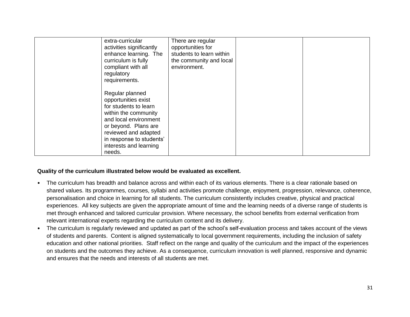| extra-curricular<br>activities significantly<br>enhance learning. The<br>curriculum is fully<br>compliant with all<br>regulatory<br>requirements.                                                                                | There are regular<br>opportunities for<br>students to learn within<br>the community and local<br>environment. |  |
|----------------------------------------------------------------------------------------------------------------------------------------------------------------------------------------------------------------------------------|---------------------------------------------------------------------------------------------------------------|--|
| Regular planned<br>opportunities exist<br>for students to learn<br>within the community<br>and local environment<br>or beyond. Plans are<br>reviewed and adapted<br>in response to students'<br>interests and learning<br>needs. |                                                                                                               |  |

#### **Quality of the curriculum illustrated below would be evaluated as excellent.**

- The curriculum has breadth and balance across and within each of its various elements. There is a clear rationale based on shared values. Its programmes, courses, syllabi and activities promote challenge, enjoyment, progression, relevance, coherence, personalisation and choice in learning for all students. The curriculum consistently includes creative, physical and practical experiences. All key subjects are given the appropriate amount of time and the learning needs of a diverse range of students is met through enhanced and tailored curricular provision. Where necessary, the school benefits from external verification from relevant international experts regarding the curriculum content and its delivery.
- The curriculum is regularly reviewed and updated as part of the school's self-evaluation process and takes account of the views of students and parents. Content is aligned systematically to local government requirements, including the inclusion of safety education and other national priorities. Staff reflect on the range and quality of the curriculum and the impact of the experiences on students and the outcomes they achieve. As a consequence, curriculum innovation is well planned, responsive and dynamic and ensures that the needs and interests of all students are met.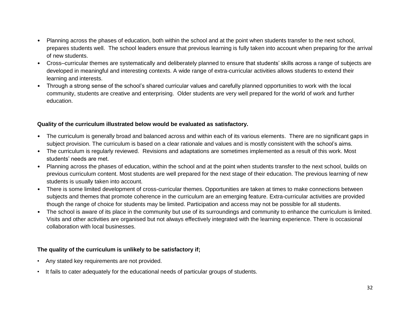- Planning across the phases of education, both within the school and at the point when students transfer to the next school, prepares students well. The school leaders ensure that previous learning is fully taken into account when preparing for the arrival of new students.
- Cross–curricular themes are systematically and deliberately planned to ensure that students' skills across a range of subjects are developed in meaningful and interesting contexts. A wide range of extra-curricular activities allows students to extend their learning and interests.
- Through a strong sense of the school's shared curricular values and carefully planned opportunities to work with the local community, students are creative and enterprising. Older students are very well prepared for the world of work and further education.

#### **Quality of the curriculum illustrated below would be evaluated as satisfactory.**

- The curriculum is generally broad and balanced across and within each of its various elements. There are no significant gaps in subject provision. The curriculum is based on a clear rationale and values and is mostly consistent with the school's aims.
- The curriculum is regularly reviewed. Revisions and adaptations are sometimes implemented as a result of this work. Most students' needs are met.
- Planning across the phases of education, within the school and at the point when students transfer to the next school, builds on previous curriculum content. Most students are well prepared for the next stage of their education. The previous learning of new students is usually taken into account.
- There is some limited development of cross-curricular themes. Opportunities are taken at times to make connections between subjects and themes that promote coherence in the curriculum are an emerging feature. Extra-curricular activities are provided though the range of choice for students may be limited. Participation and access may not be possible for all students.
- The school is aware of its place in the community but use of its surroundings and community to enhance the curriculum is limited. Visits and other activities are organised but not always effectively integrated with the learning experience. There is occasional collaboration with local businesses.

## **The quality of the curriculum is unlikely to be satisfactory if;**

- Any stated key requirements are not provided.
- It fails to cater adequately for the educational needs of particular groups of students.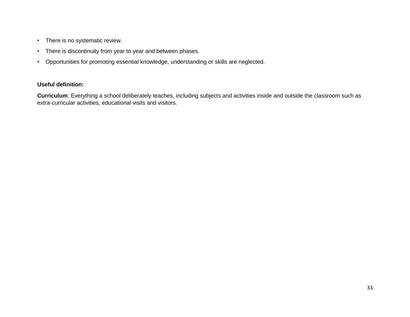- There is no systematic review.
- There is discontinuity from year to year and between phases.
- Opportunities for promoting essential knowledge, understanding or skills are neglected.

## **Useful definition:**

**Curriculum**: Everything a school deliberately teaches, including subjects and activities inside and outside the classroom such as extra-curricular activities, educational visits and visitors.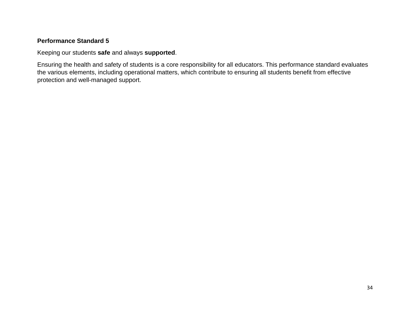## **Performance Standard 5**

Keeping our students **safe** and always **supported**.

Ensuring the health and safety of students is a core responsibility for all educators. This performance standard evaluates the various elements, including operational matters, which contribute to ensuring all students benefit from effective protection and well-managed support.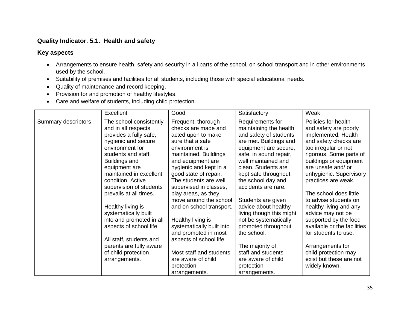## **Quality Indicator. 5.1. Health and safety**

- Arrangements to ensure health, safety and security in all parts of the school, on school transport and in other environments used by the school.
- Suitability of premises and facilities for all students, including those with special educational needs.
- Quality of maintenance and record keeping.
- Provision for and promotion of healthy lifestyles.
- Care and welfare of students, including child protection.

|                     | Excellent                                                                                                                                                                                                                                                                               | Good                                                                                                                                                                                                                                                                                                       | Satisfactory                                                                                                                                                                                                                                                                               | Weak                                                                                                                                                                                                                                                                                                 |
|---------------------|-----------------------------------------------------------------------------------------------------------------------------------------------------------------------------------------------------------------------------------------------------------------------------------------|------------------------------------------------------------------------------------------------------------------------------------------------------------------------------------------------------------------------------------------------------------------------------------------------------------|--------------------------------------------------------------------------------------------------------------------------------------------------------------------------------------------------------------------------------------------------------------------------------------------|------------------------------------------------------------------------------------------------------------------------------------------------------------------------------------------------------------------------------------------------------------------------------------------------------|
| Summary descriptors | The school consistently<br>and in all respects<br>provides a fully safe,<br>hygienic and secure<br>environment for<br>students and staff.<br><b>Buildings and</b><br>equipment are<br>maintained in excellent<br>condition. Active<br>supervision of students<br>prevails at all times. | Frequent, thorough<br>checks are made and<br>acted upon to make<br>sure that a safe<br>environment is<br>maintained. Buildings<br>and equipment are<br>hygienic and kept in a<br>good state of repair.<br>The students are well<br>supervised in classes,<br>play areas, as they<br>move around the school | Requirements for<br>maintaining the health<br>and safety of students<br>are met. Buildings and<br>equipment are secure,<br>safe, in sound repair,<br>well maintained and<br>clean. Students are<br>kept safe throughout<br>the school day and<br>accidents are rare.<br>Students are given | Policies for health<br>and safety are poorly<br>implemented. Health<br>and safety checks are<br>too irregular or not<br>rigorous. Some parts of<br>buildings or equipment<br>are unsafe and/ or<br>unhygienic. Supervisory<br>practices are weak.<br>The school does little<br>to advise students on |
|                     | Healthy living is<br>systematically built<br>into and promoted in all<br>aspects of school life.<br>All staff, students and<br>parents are fully aware<br>of child protection<br>arrangements.                                                                                          | and on school transport.<br>Healthy living is<br>systematically built into<br>and promoted in most<br>aspects of school life.<br>Most staff and students<br>are aware of child<br>protection<br>arrangements.                                                                                              | advice about healthy<br>living though this might<br>not be systematically<br>promoted throughout<br>the school.<br>The majority of<br>staff and students<br>are aware of child<br>protection<br>arrangements.                                                                              | healthy living and any<br>advice may not be<br>supported by the food<br>available or the facilities<br>for students to use.<br>Arrangements for<br>child protection may<br>exist but these are not<br>widely known.                                                                                  |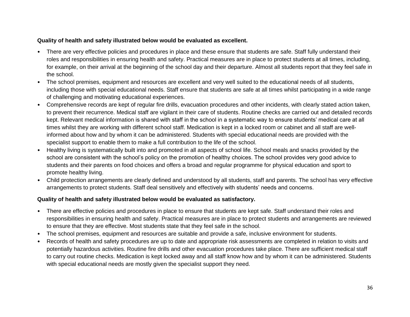#### **Quality of health and safety illustrated below would be evaluated as excellent.**

- There are very effective policies and procedures in place and these ensure that students are safe. Staff fully understand their roles and responsibilities in ensuring health and safety. Practical measures are in place to protect students at all times, including, for example, on their arrival at the beginning of the school day and their departure. Almost all students report that they feel safe in the school.
- The school premises, equipment and resources are excellent and very well suited to the educational needs of all students, including those with special educational needs. Staff ensure that students are safe at all times whilst participating in a wide range of challenging and motivating educational experiences.
- Comprehensive records are kept of regular fire drills, evacuation procedures and other incidents, with clearly stated action taken, to prevent their recurrence. Medical staff are vigilant in their care of students. Routine checks are carried out and detailed records kept. Relevant medical information is shared with staff in the school in a systematic way to ensure students' medical care at all times whilst they are working with different school staff. Medication is kept in a locked room or cabinet and all staff are wellinformed about how and by whom it can be administered. Students with special educational needs are provided with the specialist support to enable them to make a full contribution to the life of the school.
- Healthy living is systematically built into and promoted in all aspects of school life. School meals and snacks provided by the school are consistent with the school's policy on the promotion of healthy choices. The school provides very good advice to students and their parents on food choices and offers a broad and regular programme for physical education and sport to promote healthy living.
- Child protection arrangements are clearly defined and understood by all students, staff and parents. The school has very effective arrangements to protect students. Staff deal sensitively and effectively with students' needs and concerns.

## **Quality of health and safety illustrated below would be evaluated as satisfactory.**

- There are effective policies and procedures in place to ensure that students are kept safe. Staff understand their roles and responsibilities in ensuring health and safety. Practical measures are in place to protect students and arrangements are reviewed to ensure that they are effective. Most students state that they feel safe in the school.
- The school premises, equipment and resources are suitable and provide a safe, inclusive environment for students.
- Records of health and safety procedures are up to date and appropriate risk assessments are completed in relation to visits and potentially hazardous activities. Routine fire drills and other evacuation procedures take place. There are sufficient medical staff to carry out routine checks. Medication is kept locked away and all staff know how and by whom it can be administered. Students with special educational needs are mostly given the specialist support they need.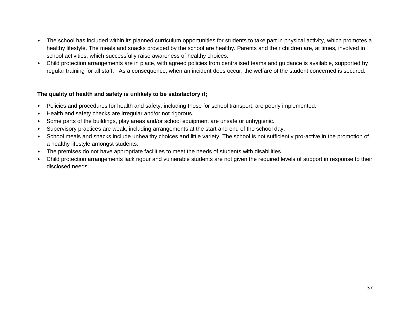- The school has included within its planned curriculum opportunities for students to take part in physical activity, which promotes a healthy lifestyle. The meals and snacks provided by the school are healthy. Parents and their children are, at times, involved in school activities, which successfully raise awareness of healthy choices.
- Child protection arrangements are in place, with agreed policies from centralised teams and guidance is available, supported by regular training for all staff. As a consequence, when an incident does occur, the welfare of the student concerned is secured.

## **The quality of health and safety is unlikely to be satisfactory if;**

- Policies and procedures for health and safety, including those for school transport, are poorly implemented.
- Health and safety checks are irregular and/or not rigorous.
- Some parts of the buildings, play areas and/or school equipment are unsafe or unhygienic.
- Supervisory practices are weak, including arrangements at the start and end of the school day.
- School meals and snacks include unhealthy choices and little variety. The school is not sufficiently pro-active in the promotion of a healthy lifestyle amongst students.
- The premises do not have appropriate facilities to meet the needs of students with disabilities.
- Child protection arrangements lack rigour and vulnerable students are not given the required levels of support in response to their disclosed needs.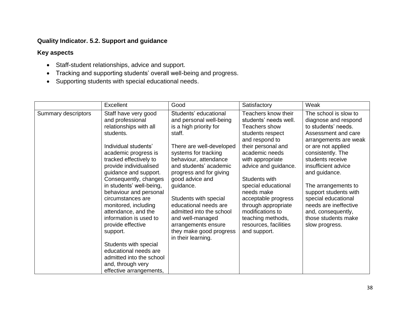# **Quality Indicator. 5.2. Support and guidance**

- Staff-student relationships, advice and support.
- Tracking and supporting students' overall well-being and progress.
- Supporting students with special educational needs.

|                     | Excellent                                                                                                                                                                                                                                                                                                                                                                                                                                                                                                                                                | Good                                                                                                                                                                                                                                                                                                                                                                                                                             | Satisfactory                                                                                                                                                                                                                                                                                                                                                                  | Weak                                                                                                                                                                                                                                                                                                                                                                                       |
|---------------------|----------------------------------------------------------------------------------------------------------------------------------------------------------------------------------------------------------------------------------------------------------------------------------------------------------------------------------------------------------------------------------------------------------------------------------------------------------------------------------------------------------------------------------------------------------|----------------------------------------------------------------------------------------------------------------------------------------------------------------------------------------------------------------------------------------------------------------------------------------------------------------------------------------------------------------------------------------------------------------------------------|-------------------------------------------------------------------------------------------------------------------------------------------------------------------------------------------------------------------------------------------------------------------------------------------------------------------------------------------------------------------------------|--------------------------------------------------------------------------------------------------------------------------------------------------------------------------------------------------------------------------------------------------------------------------------------------------------------------------------------------------------------------------------------------|
| Summary descriptors | Staff have very good<br>and professional<br>relationships with all<br>students.<br>Individual students'<br>academic progress is<br>tracked effectively to<br>provide individualised<br>guidance and support.<br>Consequently, changes<br>in students' well-being,<br>behaviour and personal<br>circumstances are<br>monitored, including<br>attendance, and the<br>information is used to<br>provide effective<br>support.<br>Students with special<br>educational needs are<br>admitted into the school<br>and, through very<br>effective arrangements, | Students' educational<br>and personal well-being<br>is a high priority for<br>staff.<br>There are well-developed<br>systems for tracking<br>behaviour, attendance<br>and students' academic<br>progress and for giving<br>good advice and<br>guidance.<br>Students with special<br>educational needs are<br>admitted into the school<br>and well-managed<br>arrangements ensure<br>they make good progress<br>in their learning. | Teachers know their<br>students' needs well.<br>Teachers show<br>students respect<br>and respond to<br>their personal and<br>academic needs<br>with appropriate<br>advice and guidance.<br>Students with<br>special educational<br>needs make<br>acceptable progress<br>through appropriate<br>modifications to<br>teaching methods,<br>resources, facilities<br>and support. | The school is slow to<br>diagnose and respond<br>to students' needs.<br>Assessment and care<br>arrangements are weak<br>or are not applied<br>consistently. The<br>students receive<br>insufficient advice<br>and guidance.<br>The arrangements to<br>support students with<br>special educational<br>needs are ineffective<br>and, consequently,<br>those students make<br>slow progress. |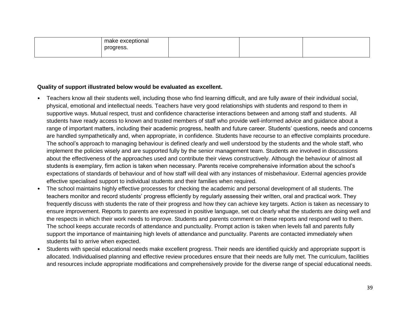| ptional<br>ridNu r<br>. 63<br>and the state of the state of the state of |  |  |
|--------------------------------------------------------------------------|--|--|
| ,<br>$\cdots$                                                            |  |  |
|                                                                          |  |  |

#### **Quality of support illustrated below would be evaluated as excellent.**

- Teachers know all their students well, including those who find learning difficult, and are fully aware of their individual social, physical, emotional and intellectual needs. Teachers have very good relationships with students and respond to them in supportive ways. Mutual respect, trust and confidence characterise interactions between and among staff and students. All students have ready access to known and trusted members of staff who provide well-informed advice and guidance about a range of important matters, including their academic progress, health and future career. Students' questions, needs and concerns are handled sympathetically and, when appropriate, in confidence. Students have recourse to an effective complaints procedure. The school's approach to managing behaviour is defined clearly and well understood by the students and the whole staff, who implement the policies wisely and are supported fully by the senior management team. Students are involved in discussions about the effectiveness of the approaches used and contribute their views constructively. Although the behaviour of almost all students is exemplary, firm action is taken when necessary. Parents receive comprehensive information about the school's expectations of standards of behaviour and of how staff will deal with any instances of misbehaviour. External agencies provide effective specialised support to individual students and their families when required.
- The school maintains highly effective processes for checking the academic and personal development of all students. The teachers monitor and record students' progress efficiently by regularly assessing their written, oral and practical work. They frequently discuss with students the rate of their progress and how they can achieve key targets. Action is taken as necessary to ensure improvement. Reports to parents are expressed in positive language, set out clearly what the students are doing well and the respects in which their work needs to improve. Students and parents comment on these reports and respond well to them. The school keeps accurate records of attendance and punctuality. Prompt action is taken when levels fall and parents fully support the importance of maintaining high levels of attendance and punctuality. Parents are contacted immediately when students fail to arrive when expected.
- Students with special educational needs make excellent progress. Their needs are identified quickly and appropriate support is allocated. Individualised planning and effective review procedures ensure that their needs are fully met. The curriculum, facilities and resources include appropriate modifications and comprehensively provide for the diverse range of special educational needs.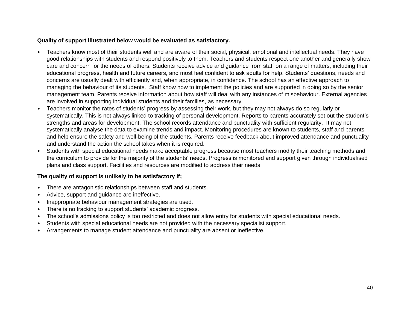#### **Quality of support illustrated below would be evaluated as satisfactory.**

- Teachers know most of their students well and are aware of their social, physical, emotional and intellectual needs. They have good relationships with students and respond positively to them. Teachers and students respect one another and generally show care and concern for the needs of others. Students receive advice and guidance from staff on a range of matters, including their educational progress, health and future careers, and most feel confident to ask adults for help. Students' questions, needs and concerns are usually dealt with efficiently and, when appropriate, in confidence. The school has an effective approach to managing the behaviour of its students. Staff know how to implement the policies and are supported in doing so by the senior management team. Parents receive information about how staff will deal with any instances of misbehaviour. External agencies are involved in supporting individual students and their families, as necessary.
- Teachers monitor the rates of students' progress by assessing their work, but they may not always do so regularly or systematically. This is not always linked to tracking of personal development. Reports to parents accurately set out the student's strengths and areas for development. The school records attendance and punctuality with sufficient regularity. It may not systematically analyse the data to examine trends and impact. Monitoring procedures are known to students, staff and parents and help ensure the safety and well-being of the students. Parents receive feedback about improved attendance and punctuality and understand the action the school takes when it is required.
- Students with special educational needs make acceptable progress because most teachers modify their teaching methods and the curriculum to provide for the majority of the students' needs. Progress is monitored and support given through individualised plans and class support. Facilities and resources are modified to address their needs.

## **The quality of support is unlikely to be satisfactory if;**

- There are antagonistic relationships between staff and students.
- Advice, support and guidance are ineffective.
- Inappropriate behaviour management strategies are used.
- There is no tracking to support students' academic progress.
- The school's admissions policy is too restricted and does not allow entry for students with special educational needs.
- Students with special educational needs are not provided with the necessary specialist support.
- Arrangements to manage student attendance and punctuality are absent or ineffective.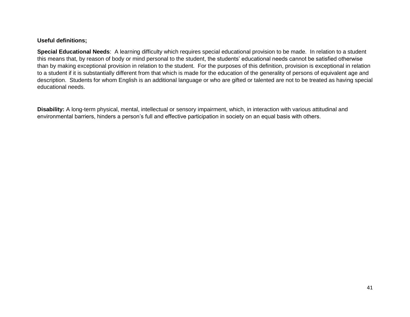#### **Useful definitions;**

**Special Educational Needs**: A learning difficulty which requires special educational provision to be made. In relation to a student this means that, by reason of body or mind personal to the student, the students' educational needs cannot be satisfied otherwise than by making exceptional provision in relation to the student. For the purposes of this definition, provision is exceptional in relation to a student if it is substantially different from that which is made for the education of the generality of persons of equivalent age and description. Students for whom English is an additional language or who are gifted or talented are not to be treated as having special educational needs.

**Disability:** A long-term physical, mental, intellectual or sensory impairment, which, in interaction with various attitudinal and environmental barriers, hinders a person's full and effective participation in society on an equal basis with others.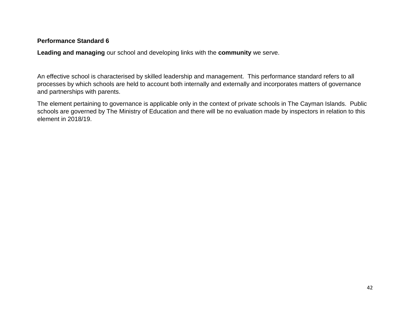## **Performance Standard 6**

**Leading and managing** our school and developing links with the **community** we serve.

An effective school is characterised by skilled leadership and management. This performance standard refers to all processes by which schools are held to account both internally and externally and incorporates matters of governance and partnerships with parents.

The element pertaining to governance is applicable only in the context of private schools in The Cayman Islands. Public schools are governed by The Ministry of Education and there will be no evaluation made by inspectors in relation to this element in 2018/19.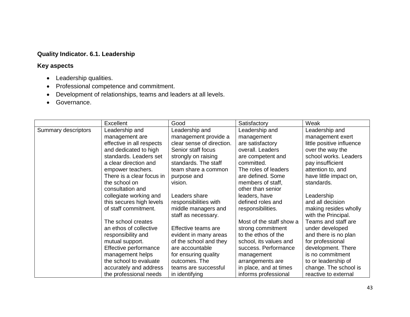# **Quality Indicator. 6.1. Leadership**

- Leadership qualities.
- Professional competence and commitment.
- Development of relationships, teams and leaders at all levels.
- **Governance.**

|                     | Excellent                 | Good                      | Satisfactory             | Weak                      |
|---------------------|---------------------------|---------------------------|--------------------------|---------------------------|
| Summary descriptors | Leadership and            | Leadership and            | Leadership and           | Leadership and            |
|                     | management are            | management provide a      | management               | management exert          |
|                     | effective in all respects | clear sense of direction. | are satisfactory         | little positive influence |
|                     | and dedicated to high     | Senior staff focus        | overall. Leaders         | over the way the          |
|                     | standards. Leaders set    | strongly on raising       | are competent and        | school works. Leaders     |
|                     | a clear direction and     | standards. The staff      | committed.               | pay insufficient          |
|                     | empower teachers.         | team share a common       | The roles of leaders     | attention to, and         |
|                     | There is a clear focus in | purpose and               | are defined. Some        | have little impact on,    |
|                     | the school on             | vision.                   | members of staff,        | standards.                |
|                     | consultation and          |                           | other than senior        |                           |
|                     | collegiate working and    | Leaders share             | leaders, have            | Leadership                |
|                     | this secures high levels  | responsibilities with     | defined roles and        | and all decision          |
|                     | of staff commitment.      | middle managers and       | responsibilities.        | making resides wholly     |
|                     |                           | staff as necessary.       |                          | with the Principal.       |
|                     | The school creates        |                           | Most of the staff show a | Teams and staff are       |
|                     | an ethos of collective    | Effective teams are       | strong commitment        | under developed           |
|                     | responsibility and        | evident in many areas     | to the ethos of the      | and there is no plan      |
|                     | mutual support.           | of the school and they    | school, its values and   | for professional          |
|                     | Effective performance     | are accountable           | success. Performance     | development. There        |
|                     | management helps          | for ensuring quality      | management               | is no commitment          |
|                     | the school to evaluate    | outcomes. The             | arrangements are         | to or leadership of       |
|                     | accurately and address    | teams are successful      | in place, and at times   | change. The school is     |
|                     | the professional needs    | in identifying            | informs professional     | reactive to external      |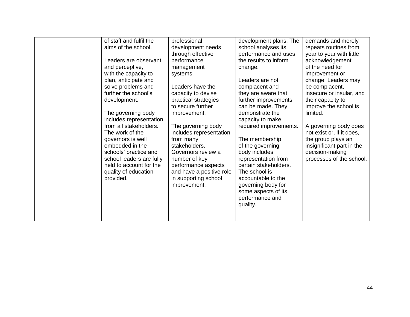| of staff and fulfil the<br>aims of the school.<br>Leaders are observant<br>and perceptive,<br>with the capacity to<br>plan, anticipate and<br>solve problems and<br>further the school's<br>development.<br>The governing body<br>includes representation<br>from all stakeholders.<br>The work of the<br>governors is well<br>embedded in the<br>schools' practice and<br>school leaders are fully<br>held to account for the<br>quality of education<br>provided. | professional<br>development needs<br>through effective<br>performance<br>management<br>systems.<br>Leaders have the<br>capacity to devise<br>practical strategies<br>to secure further<br>improvement.<br>The governing body<br>includes representation<br>from many<br>stakeholders.<br>Governors review a<br>number of key<br>performance aspects<br>and have a positive role<br>in supporting school<br>improvement. | development plans. The<br>school analyses its<br>performance and uses<br>the results to inform<br>change.<br>Leaders are not<br>complacent and<br>they are aware that<br>further improvements<br>can be made. They<br>demonstrate the<br>capacity to make<br>required improvements.<br>The membership<br>of the governing<br>body includes<br>representation from<br>certain stakeholders.<br>The school is<br>accountable to the<br>governing body for<br>some aspects of its<br>performance and<br>quality. | demands and merely<br>repeats routines from<br>year to year with little<br>acknowledgement<br>of the need for<br>improvement or<br>change. Leaders may<br>be complacent,<br>insecure or insular, and<br>their capacity to<br>improve the school is<br>limited.<br>A governing body does<br>not exist or, if it does,<br>the group plays an<br>insignificant part in the<br>decision-making<br>processes of the school. |
|---------------------------------------------------------------------------------------------------------------------------------------------------------------------------------------------------------------------------------------------------------------------------------------------------------------------------------------------------------------------------------------------------------------------------------------------------------------------|-------------------------------------------------------------------------------------------------------------------------------------------------------------------------------------------------------------------------------------------------------------------------------------------------------------------------------------------------------------------------------------------------------------------------|---------------------------------------------------------------------------------------------------------------------------------------------------------------------------------------------------------------------------------------------------------------------------------------------------------------------------------------------------------------------------------------------------------------------------------------------------------------------------------------------------------------|------------------------------------------------------------------------------------------------------------------------------------------------------------------------------------------------------------------------------------------------------------------------------------------------------------------------------------------------------------------------------------------------------------------------|
|                                                                                                                                                                                                                                                                                                                                                                                                                                                                     |                                                                                                                                                                                                                                                                                                                                                                                                                         |                                                                                                                                                                                                                                                                                                                                                                                                                                                                                                               |                                                                                                                                                                                                                                                                                                                                                                                                                        |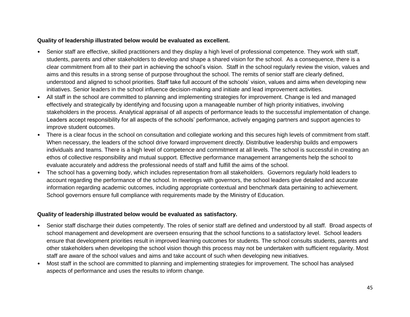#### **Quality of leadership illustrated below would be evaluated as excellent.**

- Senior staff are effective, skilled practitioners and they display a high level of professional competence. They work with staff, students, parents and other stakeholders to develop and shape a shared vision for the school. As a consequence, there is a clear commitment from all to their part in achieving the school's vision. Staff in the school regularly review the vision, values and aims and this results in a strong sense of purpose throughout the school. The remits of senior staff are clearly defined, understood and aligned to school priorities. Staff take full account of the schools' vision, values and aims when developing new initiatives. Senior leaders in the school influence decision-making and initiate and lead improvement activities.
- All staff in the school are committed to planning and implementing strategies for improvement. Change is led and managed effectively and strategically by identifying and focusing upon a manageable number of high priority initiatives, involving stakeholders in the process. Analytical appraisal of all aspects of performance leads to the successful implementation of change. Leaders accept responsibility for all aspects of the schools' performance, actively engaging partners and support agencies to improve student outcomes.
- There is a clear focus in the school on consultation and collegiate working and this secures high levels of commitment from staff. When necessary, the leaders of the school drive forward improvement directly. Distributive leadership builds and empowers individuals and teams. There is a high level of competence and commitment at all levels. The school is successful in creating an ethos of collective responsibility and mutual support. Effective performance management arrangements help the school to evaluate accurately and address the professional needs of staff and fulfill the aims of the school.
- The school has a governing body, which includes representation from all stakeholders. Governors regularly hold leaders to account regarding the performance of the school. In meetings with governors, the school leaders give detailed and accurate information regarding academic outcomes, including appropriate contextual and benchmark data pertaining to achievement. School governors ensure full compliance with requirements made by the Ministry of Education.

#### **Quality of leadership illustrated below would be evaluated as satisfactory.**

- Senior staff discharge their duties competently. The roles of senior staff are defined and understood by all staff. Broad aspects of school management and development are overseen ensuring that the school functions to a satisfactory level. School leaders ensure that development priorities result in improved learning outcomes for students. The school consults students, parents and other stakeholders when developing the school vision though this process may not be undertaken with sufficient regularity. Most staff are aware of the school values and aims and take account of such when developing new initiatives.
- Most staff in the school are committed to planning and implementing strategies for improvement. The school has analysed aspects of performance and uses the results to inform change.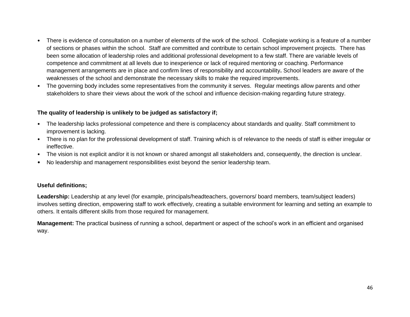- There is evidence of consultation on a number of elements of the work of the school. Collegiate working is a feature of a number of sections or phases within the school. Staff are committed and contribute to certain school improvement projects. There has been some allocation of leadership roles and additional professional development to a few staff. There are variable levels of competence and commitment at all levels due to inexperience or lack of required mentoring or coaching. Performance management arrangements are in place and confirm lines of responsibility and accountability**.** School leaders are aware of the weaknesses of the school and demonstrate the necessary skills to make the required improvements.
- The governing body includes some representatives from the community it serves. Regular meetings allow parents and other stakeholders to share their views about the work of the school and influence decision-making regarding future strategy.

#### **The quality of leadership is unlikely to be judged as satisfactory if;**

- The leadership lacks professional competence and there is complacency about standards and quality. Staff commitment to improvement is lacking.
- There is no plan for the professional development of staff. Training which is of relevance to the needs of staff is either irregular or ineffective.
- The vision is not explicit and/or it is not known or shared amongst all stakeholders and, consequently, the direction is unclear.
- No leadership and management responsibilities exist beyond the senior leadership team.

#### **Useful definitions;**

**Leadership:** Leadership at any level (for example, principals/headteachers, governors/ board members, team/subject leaders) involves setting direction, empowering staff to work effectively, creating a suitable environment for learning and setting an example to others. It entails different skills from those required for management.

**Management:** The practical business of running a school, department or aspect of the school's work in an efficient and organised way.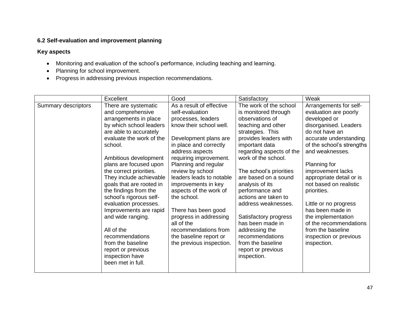## **6.2 Self-evaluation and improvement planning**

- Monitoring and evaluation of the school's performance, including teaching and learning.
- Planning for school improvement.
- Progress in addressing previous inspection recommendations.

|                     | Excellent                                                                                                                                                                                                                                                                                                                                                                                                                                                                                                                                           | Good                                                                                                                                                                                                                                                                                                                                                                                                                                                                              | Satisfactory                                                                                                                                                                                                                                                                                                                                                                                                                                                                                  | Weak                                                                                                                                                                                                                                                                                                                                                                                                                                                      |
|---------------------|-----------------------------------------------------------------------------------------------------------------------------------------------------------------------------------------------------------------------------------------------------------------------------------------------------------------------------------------------------------------------------------------------------------------------------------------------------------------------------------------------------------------------------------------------------|-----------------------------------------------------------------------------------------------------------------------------------------------------------------------------------------------------------------------------------------------------------------------------------------------------------------------------------------------------------------------------------------------------------------------------------------------------------------------------------|-----------------------------------------------------------------------------------------------------------------------------------------------------------------------------------------------------------------------------------------------------------------------------------------------------------------------------------------------------------------------------------------------------------------------------------------------------------------------------------------------|-----------------------------------------------------------------------------------------------------------------------------------------------------------------------------------------------------------------------------------------------------------------------------------------------------------------------------------------------------------------------------------------------------------------------------------------------------------|
| Summary descriptors | There are systematic<br>and comprehensive<br>arrangements in place<br>by which school leaders<br>are able to accurately<br>evaluate the work of the<br>school.<br>Ambitious development<br>plans are focused upon<br>the correct priorities.<br>They include achievable<br>goals that are rooted in<br>the findings from the<br>school's rigorous self-<br>evaluation processes.<br>Improvements are rapid<br>and wide ranging.<br>All of the<br>recommendations<br>from the baseline<br>report or previous<br>inspection have<br>been met in full. | As a result of effective<br>self-evaluation<br>processes, leaders<br>know their school well.<br>Development plans are<br>in place and correctly<br>address aspects<br>requiring improvement.<br>Planning and regular<br>review by school<br>leaders leads to notable<br>improvements in key<br>aspects of the work of<br>the school.<br>There has been good<br>progress in addressing<br>all of the<br>recommendations from<br>the baseline report or<br>the previous inspection. | The work of the school<br>is monitored through<br>observations of<br>teaching and other<br>strategies. This<br>provides leaders with<br>important data<br>regarding aspects of the<br>work of the school.<br>The school's priorities<br>are based on a sound<br>analysis of its<br>performance and<br>actions are taken to<br>address weaknesses.<br>Satisfactory progress<br>has been made in<br>addressing the<br>recommendations<br>from the baseline<br>report or previous<br>inspection. | Arrangements for self-<br>evaluation are poorly<br>developed or<br>disorganised. Leaders<br>do not have an<br>accurate understanding<br>of the school's strengths<br>and weaknesses.<br>Planning for<br>improvement lacks<br>appropriate detail or is<br>not based on realistic<br>priorities.<br>Little or no progress<br>has been made in<br>the implementation<br>of the recommendations<br>from the baseline<br>inspection or previous<br>inspection. |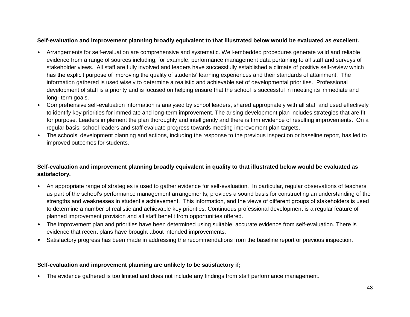#### **Self-evaluation and improvement planning broadly equivalent to that illustrated below would be evaluated as excellent.**

- Arrangements for self-evaluation are comprehensive and systematic. Well-embedded procedures generate valid and reliable evidence from a range of sources including, for example, performance management data pertaining to all staff and surveys of stakeholder views. All staff are fully involved and leaders have successfully established a climate of positive self-review which has the explicit purpose of improving the quality of students' learning experiences and their standards of attainment. The information gathered is used wisely to determine a realistic and achievable set of developmental priorities. Professional development of staff is a priority and is focused on helping ensure that the school is successful in meeting its immediate and long- term goals.
- Comprehensive self-evaluation information is analysed by school leaders, shared appropriately with all staff and used effectively to identify key priorities for immediate and long-term improvement. The arising development plan includes strategies that are fit for purpose. Leaders implement the plan thoroughly and intelligently and there is firm evidence of resulting improvements. On a regular basis, school leaders and staff evaluate progress towards meeting improvement plan targets.
- The schools' development planning and actions, including the response to the previous inspection or baseline report, has led to improved outcomes for students.

## **Self-evaluation and improvement planning broadly equivalent in quality to that illustrated below would be evaluated as satisfactory.**

- An appropriate range of strategies is used to gather evidence for self-evaluation. In particular, regular observations of teachers as part of the school's performance management arrangements, provides a sound basis for constructing an understanding of the strengths and weaknesses in student's achievement. This information, and the views of different groups of stakeholders is used to determine a number of realistic and achievable key priorities. Continuous professional development is a regular feature of planned improvement provision and all staff benefit from opportunities offered.
- The improvement plan and priorities have been determined using suitable, accurate evidence from self-evaluation. There is evidence that recent plans have brought about intended improvements.
- Satisfactory progress has been made in addressing the recommendations from the baseline report or previous inspection.

#### **Self-evaluation and improvement planning are unlikely to be satisfactory if;**

• The evidence gathered is too limited and does not include any findings from staff performance management.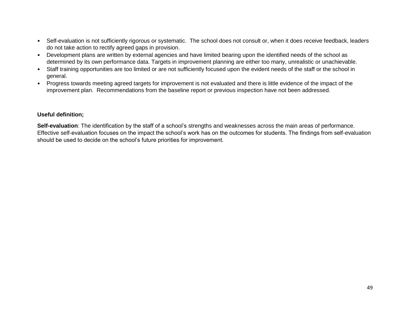- Self-evaluation is not sufficiently rigorous or systematic. The school does not consult or, when it does receive feedback, leaders do not take action to rectify agreed gaps in provision.
- Development plans are written by external agencies and have limited bearing upon the identified needs of the school as determined by its own performance data. Targets in improvement planning are either too many, unrealistic or unachievable.
- Staff training opportunities are too limited or are not sufficiently focused upon the evident needs of the staff or the school in general.
- Progress towards meeting agreed targets for improvement is not evaluated and there is little evidence of the impact of the improvement plan. Recommendations from the baseline report or previous inspection have not been addressed.

#### **Useful definition;**

**Self-evaluation**: The identification by the staff of a school's strengths and weaknesses across the main areas of performance. Effective self-evaluation focuses on the impact the school's work has on the outcomes for students. The findings from self-evaluation should be used to decide on the school's future priorities for improvement.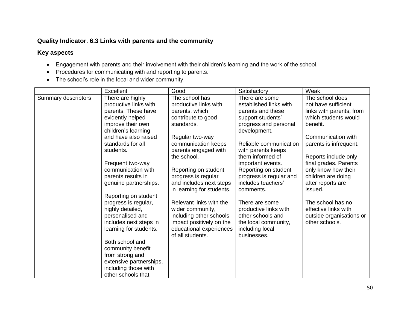## **Quality Indicator. 6.3 Links with parents and the community**

- Engagement with parents and their involvement with their children's learning and the work of the school.
- Procedures for communicating with and reporting to parents.
- The school's role in the local and wider community.

|                     | Excellent               | Good                                                 | Satisfactory                    | Weak                         |
|---------------------|-------------------------|------------------------------------------------------|---------------------------------|------------------------------|
| Summary descriptors | There are highly        | The school has                                       | There are some                  | The school does              |
|                     | productive links with   | productive links with                                | established links with          | not have sufficient          |
|                     | parents. These have     | parents, which                                       | parents and these               | links with parents, from     |
|                     | evidently helped        | contribute to good                                   | support students'               | which students would         |
|                     | improve their own       | standards.                                           | progress and personal           | benefit.                     |
|                     | children's learning     |                                                      | development.                    |                              |
|                     | and have also raised    | Regular two-way                                      |                                 | Communication with           |
|                     | standards for all       | communication keeps                                  | Reliable communication          | parents is infrequent.       |
|                     | students.               | parents engaged with                                 | with parents keeps              |                              |
|                     |                         | the school.                                          | them informed of                | Reports include only         |
|                     | Frequent two-way        |                                                      | important events.               | final grades. Parents        |
|                     | communication with      | Reporting on student                                 | Reporting on student            | only know how their          |
|                     | parents results in      | progress is regular                                  | progress is regular and         | children are doing           |
|                     | genuine partnerships.   | and includes next steps<br>in learning for students. | includes teachers'<br>comments. | after reports are<br>issued. |
|                     | Reporting on student    |                                                      |                                 |                              |
|                     | progress is regular,    | Relevant links with the                              | There are some                  | The school has no            |
|                     | highly detailed,        | wider community,                                     | productive links with           | effective links with         |
|                     | personalised and        | including other schools                              | other schools and               | outside organisations or     |
|                     | includes next steps in  | impact positively on the                             | the local community,            | other schools.               |
|                     | learning for students.  | educational experiences                              | including local                 |                              |
|                     |                         | of all students.                                     | businesses.                     |                              |
|                     | Both school and         |                                                      |                                 |                              |
|                     | community benefit       |                                                      |                                 |                              |
|                     | from strong and         |                                                      |                                 |                              |
|                     | extensive partnerships, |                                                      |                                 |                              |
|                     | including those with    |                                                      |                                 |                              |
|                     | other schools that      |                                                      |                                 |                              |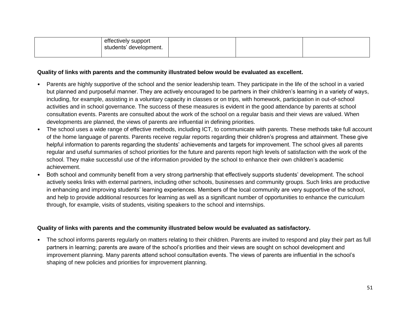| effectively support<br>students' development. |  |  |
|-----------------------------------------------|--|--|
|                                               |  |  |

#### **Quality of links with parents and the community illustrated below would be evaluated as excellent.**

- Parents are highly supportive of the school and the senior leadership team. They participate in the life of the school in a varied but planned and purposeful manner. They are actively encouraged to be partners in their children's learning in a variety of ways, including, for example, assisting in a voluntary capacity in classes or on trips, with homework, participation in out-of-school activities and in school governance. The success of these measures is evident in the good attendance by parents at school consultation events. Parents are consulted about the work of the school on a regular basis and their views are valued. When developments are planned, the views of parents are influential in defining priorities.
- The school uses a wide range of effective methods, including ICT, to communicate with parents. These methods take full account of the home language of parents. Parents receive regular reports regarding their children's progress and attainment. These give helpful information to parents regarding the students' achievements and targets for improvement. The school gives all parents regular and useful summaries of school priorities for the future and parents report high levels of satisfaction with the work of the school. They make successful use of the information provided by the school to enhance their own children's academic achievement.
- Both school and community benefit from a very strong partnership that effectively supports students' development. The school actively seeks links with external partners, including other schools, businesses and community groups. Such links are productive in enhancing and improving students' learning experiences. Members of the local community are very supportive of the school, and help to provide additional resources for learning as well as a significant number of opportunities to enhance the curriculum through, for example, visits of students, visiting speakers to the school and internships.

#### **Quality of links with parents and the community illustrated below would be evaluated as satisfactory.**

• The school informs parents regularly on matters relating to their children. Parents are invited to respond and play their part as full partners in learning; parents are aware of the school's priorities and their views are sought on school development and improvement planning. Many parents attend school consultation events. The views of parents are influential in the school's shaping of new policies and priorities for improvement planning.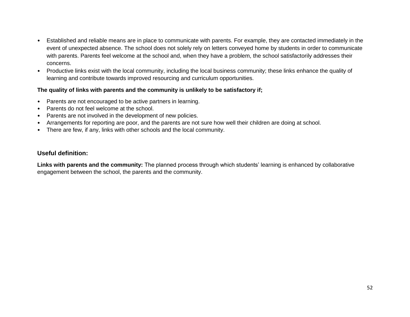- Established and reliable means are in place to communicate with parents. For example, they are contacted immediately in the event of unexpected absence. The school does not solely rely on letters conveyed home by students in order to communicate with parents. Parents feel welcome at the school and, when they have a problem, the school satisfactorily addresses their concerns.
- Productive links exist with the local community, including the local business community; these links enhance the quality of learning and contribute towards improved resourcing and curriculum opportunities.

## **The quality of links with parents and the community is unlikely to be satisfactory if;**

- Parents are not encouraged to be active partners in learning.
- Parents do not feel welcome at the school.
- Parents are not involved in the development of new policies.
- Arrangements for reporting are poor, and the parents are not sure how well their children are doing at school.
- There are few, if any, links with other schools and the local community.

## **Useful definition:**

**Links with parents and the community:** The planned process through which students' learning is enhanced by collaborative engagement between the school, the parents and the community.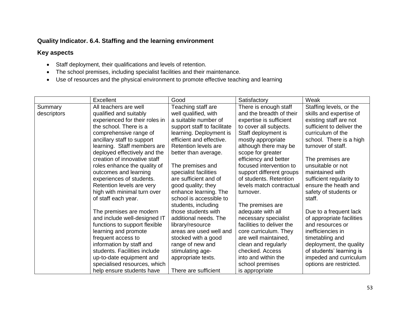## **Quality Indicator. 6.4. Staffing and the learning environment**

- Staff deployment, their qualifications and levels of retention.
- The school premises, including specialist facilities and their maintenance.
- Use of resources and the physical environment to promote effective teaching and learning

|             | Excellent                      | Good                        | Satisfactory              | Weak                      |
|-------------|--------------------------------|-----------------------------|---------------------------|---------------------------|
| Summary     | All teachers are well          | Teaching staff are          | There is enough staff     | Staffing levels, or the   |
| descriptors | qualified and suitably         | well qualified, with        | and the breadth of their  | skills and expertise of   |
|             | experienced for their roles in | a suitable number of        | expertise is sufficient   | existing staff are not    |
|             | the school. There is a         | support staff to facilitate | to cover all subjects.    | sufficient to deliver the |
|             | comprehensive range of         | learning. Deployment is     | Staff deployment is       | curriculum of the         |
|             | ancillary staff to support     | efficient and effective.    | mostly appropriate        | school. There is a high   |
|             | learning. Staff members are    | Retention levels are        | although there may be     | turnover of staff.        |
|             | deployed effectively and the   | better than average.        | scope for greater         |                           |
|             | creation of innovative staff   |                             | efficiency and better     | The premises are          |
|             | roles enhance the quality of   | The premises and            | focused intervention to   | unsuitable or not         |
|             | outcomes and learning          | specialist facilities       | support different groups  | maintained with           |
|             | experiences of students.       | are sufficient and of       | of students. Retention    | sufficient regularity to  |
|             | Retention levels are very      | good quality; they          | levels match contractual  | ensure the heath and      |
|             | high with minimal turn over    | enhance learning. The       | turnover.                 | safety of students or     |
|             | of staff each year.            | school is accessible to     |                           | staff.                    |
|             |                                | students, including         | The premises are          |                           |
|             | The premises are modern        | those students with         | adequate with all         | Due to a frequent lack    |
|             | and include well-designed IT   | additional needs. The       | necessary specialist      | of appropriate facilities |
|             | functions to support flexible  | library/resource            | facilities to deliver the | and resources or          |
|             | learning and promote           | areas are used well and     | core curriculum. They     | inefficiencies in         |
|             | frequent access to             | stocked with a good         | are well maintained,      | timetabling and           |
|             | information by staff and       | range of new and            | clean and regularly       | deployment, the quality   |
|             | students. Facilities include   | stimulating age-            | checked. Access           | of students' learning is  |
|             | up-to-date equipment and       | appropriate texts.          | into and within the       | impeded and curriculum    |
|             | specialised resources, which   |                             | school premises           | options are restricted.   |
|             | help ensure students have      | There are sufficient        | is appropriate            |                           |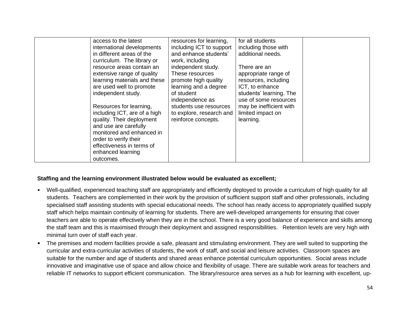| access to the latest<br>international developments<br>in different areas of the<br>curriculum. The library or<br>resource areas contain an<br>extensive range of quality<br>learning materials and these<br>are used well to promote<br>independent study.<br>Resources for learning,<br>including ICT, are of a high<br>quality. Their deployment<br>and use are carefully<br>monitored and enhanced in<br>order to verify their<br>effectiveness in terms of<br>enhanced learning<br>outcomes. | resources for learning,<br>including ICT to support<br>and enhance students'<br>work, including<br>independent study.<br>These resources<br>promote high quality<br>learning and a degree<br>of student<br>independence as<br>students use resources<br>to explore, research and<br>reinforce concepts. | for all students<br>including those with<br>additional needs.<br>There are an<br>appropriate range of<br>resources, including<br>ICT, to enhance<br>students' learning. The<br>use of some resources<br>may be inefficient with<br>limited impact on<br>learning. |  |
|--------------------------------------------------------------------------------------------------------------------------------------------------------------------------------------------------------------------------------------------------------------------------------------------------------------------------------------------------------------------------------------------------------------------------------------------------------------------------------------------------|---------------------------------------------------------------------------------------------------------------------------------------------------------------------------------------------------------------------------------------------------------------------------------------------------------|-------------------------------------------------------------------------------------------------------------------------------------------------------------------------------------------------------------------------------------------------------------------|--|
|--------------------------------------------------------------------------------------------------------------------------------------------------------------------------------------------------------------------------------------------------------------------------------------------------------------------------------------------------------------------------------------------------------------------------------------------------------------------------------------------------|---------------------------------------------------------------------------------------------------------------------------------------------------------------------------------------------------------------------------------------------------------------------------------------------------------|-------------------------------------------------------------------------------------------------------------------------------------------------------------------------------------------------------------------------------------------------------------------|--|

#### **Staffing and the learning environment illustrated below would be evaluated as excellent;**

- Well-qualified, experienced teaching staff are appropriately and efficiently deployed to provide a curriculum of high quality for all students. Teachers are complemented in their work by the provision of sufficient support staff and other professionals, including specialised staff assisting students with special educational needs. The school has ready access to appropriately qualified supply staff which helps maintain continuity of learning for students. There are well-developed arrangements for ensuring that cover teachers are able to operate effectively when they are in the school. There is a very good balance of experience and skills among the staff team and this is maximised through their deployment and assigned responsibilities. Retention levels are very high with minimal turn over of staff each year.
- The premises and modern facilities provide a safe, pleasant and stimulating environment. They are well suited to supporting the curricular and extra-curricular activities of students, the work of staff, and social and leisure activities. Classroom spaces are suitable for the number and age of students and shared areas enhance potential curriculum opportunities. Social areas include innovative and imaginative use of space and allow choice and flexibility of usage. There are suitable work areas for teachers and reliable IT networks to support efficient communication. The library/resource area serves as a hub for learning with excellent, up-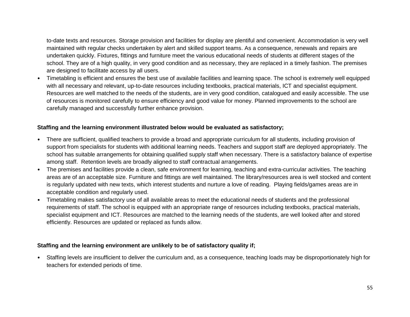to-date texts and resources. Storage provision and facilities for display are plentiful and convenient. Accommodation is very well maintained with regular checks undertaken by alert and skilled support teams. As a consequence, renewals and repairs are undertaken quickly. Fixtures, fittings and furniture meet the various educational needs of students at different stages of the school. They are of a high quality, in very good condition and as necessary, they are replaced in a timely fashion. The premises are designed to facilitate access by all users.

• Timetabling is efficient and ensures the best use of available facilities and learning space. The school is extremely well equipped with all necessary and relevant, up-to-date resources including textbooks, practical materials, ICT and specialist equipment. Resources are well matched to the needs of the students, are in very good condition, catalogued and easily accessible. The use of resources is monitored carefully to ensure efficiency and good value for money. Planned improvements to the school are carefully managed and successfully further enhance provision.

#### **Staffing and the learning environment illustrated below would be evaluated as satisfactory;**

- There are sufficient, qualified teachers to provide a broad and appropriate curriculum for all students, including provision of support from specialists for students with additional learning needs. Teachers and support staff are deployed appropriately. The school has suitable arrangements for obtaining qualified supply staff when necessary. There is a satisfactory balance of expertise among staff. Retention levels are broadly aligned to staff contractual arrangements.
- The premises and facilities provide a clean, safe environment for learning, teaching and extra-curricular activities. The teaching areas are of an acceptable size. Furniture and fittings are well maintained. The library/resources area is well stocked and content is regularly updated with new texts, which interest students and nurture a love of reading. Playing fields/games areas are in acceptable condition and regularly used.
- Timetabling makes satisfactory use of all available areas to meet the educational needs of students and the professional requirements of staff. The school is equipped with an appropriate range of resources including textbooks, practical materials, specialist equipment and ICT. Resources are matched to the learning needs of the students, are well looked after and stored efficiently. Resources are updated or replaced as funds allow.

## **Staffing and the learning environment are unlikely to be of satisfactory quality if;**

• Staffing levels are insufficient to deliver the curriculum and, as a consequence, teaching loads may be disproportionately high for teachers for extended periods of time.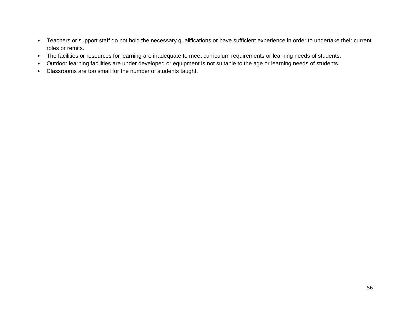- Teachers or support staff do not hold the necessary qualifications or have sufficient experience in order to undertake their current roles or remits.
- The facilities or resources for learning are inadequate to meet curriculum requirements or learning needs of students.
- Outdoor learning facilities are under developed or equipment is not suitable to the age or learning needs of students.
- Classrooms are too small for the number of students taught.